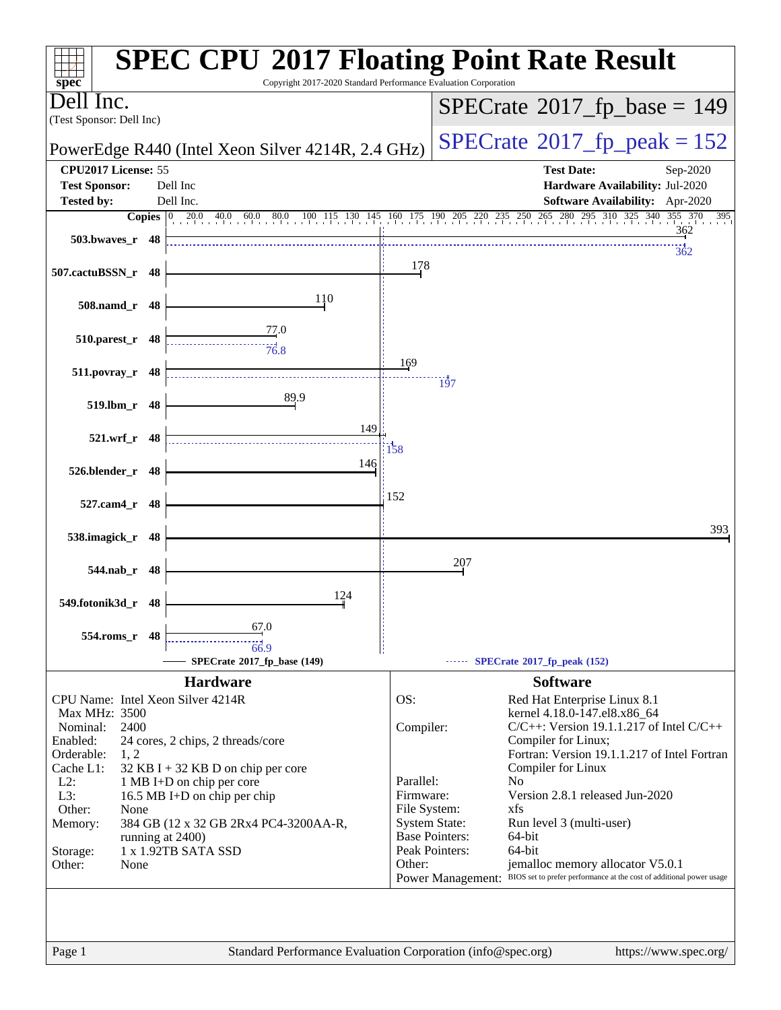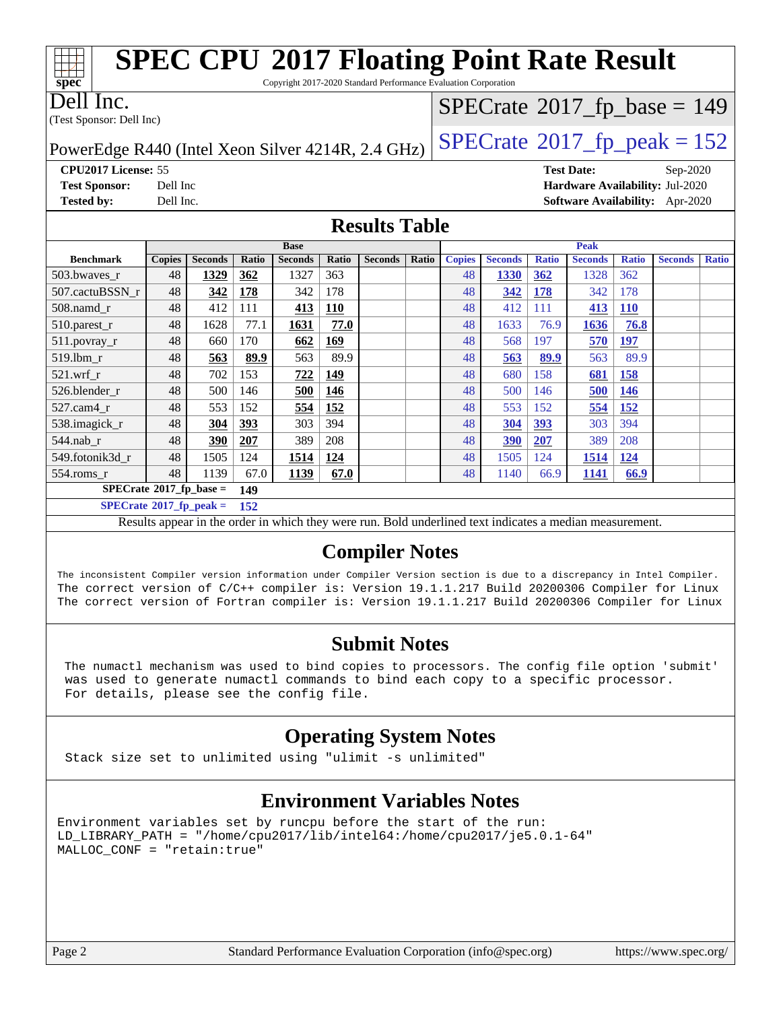| <b>SPEC CPU®2017 Floating Point Rate Result</b><br>Copyright 2017-2020 Standard Performance Evaluation Corporation<br>spec <sup>®</sup> |                                             |                |              |                |              |                |       |               |                |              |                   |              |                                 |              |
|-----------------------------------------------------------------------------------------------------------------------------------------|---------------------------------------------|----------------|--------------|----------------|--------------|----------------|-------|---------------|----------------|--------------|-------------------|--------------|---------------------------------|--------------|
| Dell Inc.<br>$SPECrate$ <sup>®</sup> 2017_fp_base = 149                                                                                 |                                             |                |              |                |              |                |       |               |                |              |                   |              |                                 |              |
| (Test Sponsor: Dell Inc)                                                                                                                |                                             |                |              |                |              |                |       |               |                |              |                   |              |                                 |              |
| $SPECTate@2017_fp\_peak = 152$<br>PowerEdge R440 (Intel Xeon Silver 4214R, 2.4 GHz)                                                     |                                             |                |              |                |              |                |       |               |                |              |                   |              |                                 |              |
| CPU2017 License: 55                                                                                                                     |                                             |                |              |                |              |                |       |               |                |              | <b>Test Date:</b> |              | Sep-2020                        |              |
| <b>Test Sponsor:</b>                                                                                                                    | Dell Inc<br>Hardware Availability: Jul-2020 |                |              |                |              |                |       |               |                |              |                   |              |                                 |              |
| <b>Tested by:</b>                                                                                                                       | Dell Inc.                                   |                |              |                |              |                |       |               |                |              |                   |              | Software Availability: Apr-2020 |              |
| <b>Results Table</b>                                                                                                                    |                                             |                |              |                |              |                |       |               |                |              |                   |              |                                 |              |
|                                                                                                                                         |                                             |                |              | <b>Base</b>    |              |                |       |               |                |              | <b>Peak</b>       |              |                                 |              |
| <b>Benchmark</b>                                                                                                                        | <b>Copies</b>                               | <b>Seconds</b> | <b>Ratio</b> | <b>Seconds</b> | <b>Ratio</b> | <b>Seconds</b> | Ratio | <b>Copies</b> | <b>Seconds</b> | <b>Ratio</b> | <b>Seconds</b>    | <b>Ratio</b> | <b>Seconds</b>                  | <b>Ratio</b> |
| 503.bwayes r                                                                                                                            | 48                                          | 1329           | 362          | 1327           | 363          |                |       | 48            | 1330           | 362          | 1328              | 362          |                                 |              |
| 507.cactuBSSN r                                                                                                                         | 48                                          | 342            | 178          | 342            | 178          |                |       | 48            | 342            | 178          | 342               | 178          |                                 |              |
| $508$ .namd $r$                                                                                                                         | 48                                          | 412            | 111          | 413            | <b>110</b>   |                |       | 48            | 412            | 111          | 413               | <b>110</b>   |                                 |              |
| 510.parest_r                                                                                                                            | 48                                          | 1628           | 77.1         | 1631           | 77.0         |                |       | 48            | 1633           | 76.9         | 1636              | 76.8         |                                 |              |
| 511.povray_r                                                                                                                            | 48                                          | 660            | 170          | 662            | 169          |                |       | 48            | 568            | 197          | 570               | 197          |                                 |              |
| $519.$ lbm_r                                                                                                                            | 48                                          | 563            | 89.9         | 563            | 89.9         |                |       | 48            | 563            | 89.9         | 563               | 89.9         |                                 |              |
| 521.wrf r                                                                                                                               | 48                                          | 702            | 153          | 722            | 149          |                |       | 48            | 680            | 158          | 681               | 158          |                                 |              |
| 526.blender r                                                                                                                           | 48                                          | 500            | 146          | 500            | 146          |                |       | 48            | 500            | 146          | 500               | <b>146</b>   |                                 |              |
| 527.cam4 r                                                                                                                              | 48                                          | 553            | 152          | 554            | 152          |                |       | 48            | 553            | 152          | 554               | 152          |                                 |              |
| 538.imagick_r                                                                                                                           | 48                                          | 304            | 393          | 303            | 394          |                |       | 48            | 304            | 393          | 303               | 394          |                                 |              |
| 544.nab_r                                                                                                                               | 48                                          | 390            | 207          | 389            | 208          |                |       | 48            | 390            | 207          | 389               | 208          |                                 |              |
| 549.fotonik3d_r                                                                                                                         | 48                                          | 1505           | 124          | 1514           | 124          |                |       | 48            | 1505           | 124          | 1514              | 124          |                                 |              |
| 554.roms_r                                                                                                                              | 48                                          | 1139           | 67.0         | 1139           | 67.0         |                |       | 48            | 1140           | 66.9         | 1141              | 66.9         |                                 |              |

**[SPECrate](http://www.spec.org/auto/cpu2017/Docs/result-fields.html#SPECrate2017fpbase)[2017\\_fp\\_base =](http://www.spec.org/auto/cpu2017/Docs/result-fields.html#SPECrate2017fpbase) 149**

**[SPECrate](http://www.spec.org/auto/cpu2017/Docs/result-fields.html#SPECrate2017fppeak)[2017\\_fp\\_peak =](http://www.spec.org/auto/cpu2017/Docs/result-fields.html#SPECrate2017fppeak) 152**

Results appear in the [order in which they were run.](http://www.spec.org/auto/cpu2017/Docs/result-fields.html#RunOrder) Bold underlined text [indicates a median measurement.](http://www.spec.org/auto/cpu2017/Docs/result-fields.html#Median)

### **[Compiler Notes](http://www.spec.org/auto/cpu2017/Docs/result-fields.html#CompilerNotes)**

The inconsistent Compiler version information under Compiler Version section is due to a discrepancy in Intel Compiler. The correct version of C/C++ compiler is: Version 19.1.1.217 Build 20200306 Compiler for Linux The correct version of Fortran compiler is: Version 19.1.1.217 Build 20200306 Compiler for Linux

### **[Submit Notes](http://www.spec.org/auto/cpu2017/Docs/result-fields.html#SubmitNotes)**

 The numactl mechanism was used to bind copies to processors. The config file option 'submit' was used to generate numactl commands to bind each copy to a specific processor. For details, please see the config file.

### **[Operating System Notes](http://www.spec.org/auto/cpu2017/Docs/result-fields.html#OperatingSystemNotes)**

Stack size set to unlimited using "ulimit -s unlimited"

### **[Environment Variables Notes](http://www.spec.org/auto/cpu2017/Docs/result-fields.html#EnvironmentVariablesNotes)**

Environment variables set by runcpu before the start of the run: LD\_LIBRARY\_PATH = "/home/cpu2017/lib/intel64:/home/cpu2017/je5.0.1-64" MALLOC\_CONF = "retain:true"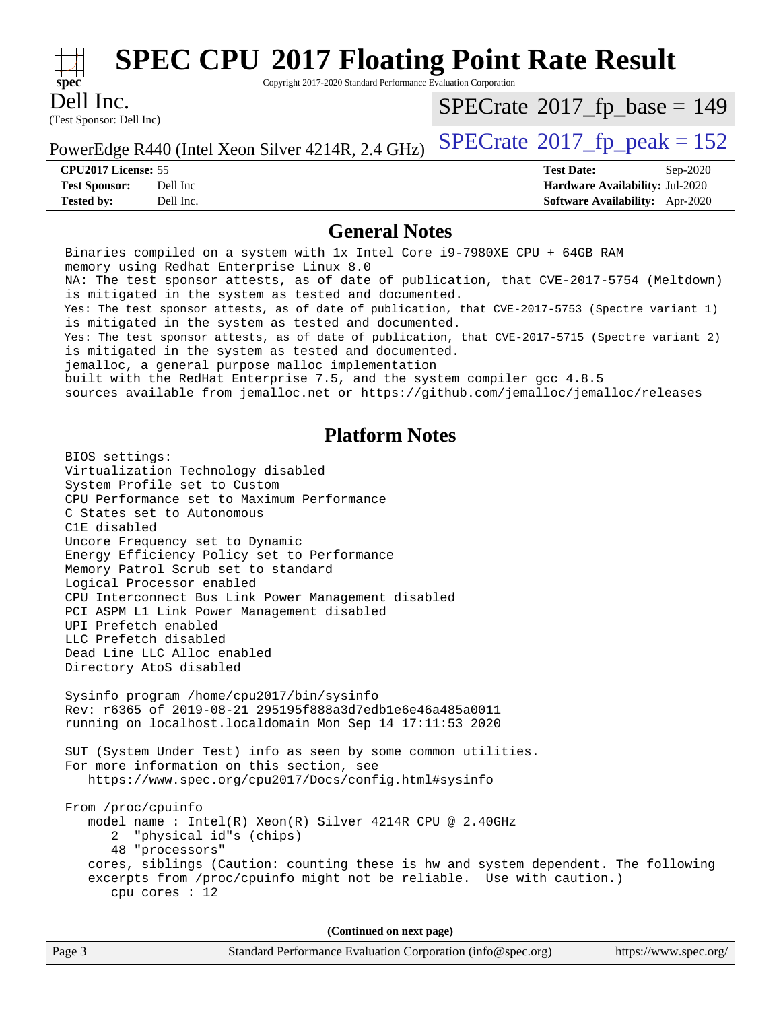

Copyright 2017-2020 Standard Performance Evaluation Corporation

(Test Sponsor: Dell Inc) Dell Inc.

 $SPECTate$ <sup>®</sup>[2017\\_fp\\_base =](http://www.spec.org/auto/cpu2017/Docs/result-fields.html#SPECrate2017fpbase) 149

**[Tested by:](http://www.spec.org/auto/cpu2017/Docs/result-fields.html#Testedby)** Dell Inc. **[Software Availability:](http://www.spec.org/auto/cpu2017/Docs/result-fields.html#SoftwareAvailability)** Apr-2020

PowerEdge R440 (Intel Xeon Silver 4214R, 2.4 GHz)  $\left|$  [SPECrate](http://www.spec.org/auto/cpu2017/Docs/result-fields.html#SPECrate2017fppeak)®[2017\\_fp\\_peak = 1](http://www.spec.org/auto/cpu2017/Docs/result-fields.html#SPECrate2017fppeak)52

**[CPU2017 License:](http://www.spec.org/auto/cpu2017/Docs/result-fields.html#CPU2017License)** 55 **[Test Date:](http://www.spec.org/auto/cpu2017/Docs/result-fields.html#TestDate)** Sep-2020 **[Test Sponsor:](http://www.spec.org/auto/cpu2017/Docs/result-fields.html#TestSponsor)** Dell Inc **[Hardware Availability:](http://www.spec.org/auto/cpu2017/Docs/result-fields.html#HardwareAvailability)** Jul-2020

### **[General Notes](http://www.spec.org/auto/cpu2017/Docs/result-fields.html#GeneralNotes)**

 Binaries compiled on a system with 1x Intel Core i9-7980XE CPU + 64GB RAM memory using Redhat Enterprise Linux 8.0 NA: The test sponsor attests, as of date of publication, that CVE-2017-5754 (Meltdown) is mitigated in the system as tested and documented. Yes: The test sponsor attests, as of date of publication, that CVE-2017-5753 (Spectre variant 1) is mitigated in the system as tested and documented. Yes: The test sponsor attests, as of date of publication, that CVE-2017-5715 (Spectre variant 2) is mitigated in the system as tested and documented. jemalloc, a general purpose malloc implementation built with the RedHat Enterprise 7.5, and the system compiler gcc 4.8.5 sources available from jemalloc.net or<https://github.com/jemalloc/jemalloc/releases> **[Platform Notes](http://www.spec.org/auto/cpu2017/Docs/result-fields.html#PlatformNotes)** BIOS settings: Virtualization Technology disabled System Profile set to Custom CPU Performance set to Maximum Performance C States set to Autonomous C1E disabled Uncore Frequency set to Dynamic Energy Efficiency Policy set to Performance Memory Patrol Scrub set to standard Logical Processor enabled CPU Interconnect Bus Link Power Management disabled PCI ASPM L1 Link Power Management disabled UPI Prefetch enabled LLC Prefetch disabled Dead Line LLC Alloc enabled Directory AtoS disabled Sysinfo program /home/cpu2017/bin/sysinfo Rev: r6365 of 2019-08-21 295195f888a3d7edb1e6e46a485a0011 running on localhost.localdomain Mon Sep 14 17:11:53 2020 SUT (System Under Test) info as seen by some common utilities. For more information on this section, see <https://www.spec.org/cpu2017/Docs/config.html#sysinfo> From /proc/cpuinfo model name : Intel(R) Xeon(R) Silver 4214R CPU @ 2.40GHz 2 "physical id"s (chips) 48 "processors" cores, siblings (Caution: counting these is hw and system dependent. The following excerpts from /proc/cpuinfo might not be reliable. Use with caution.) cpu cores : 12 **(Continued on next page)**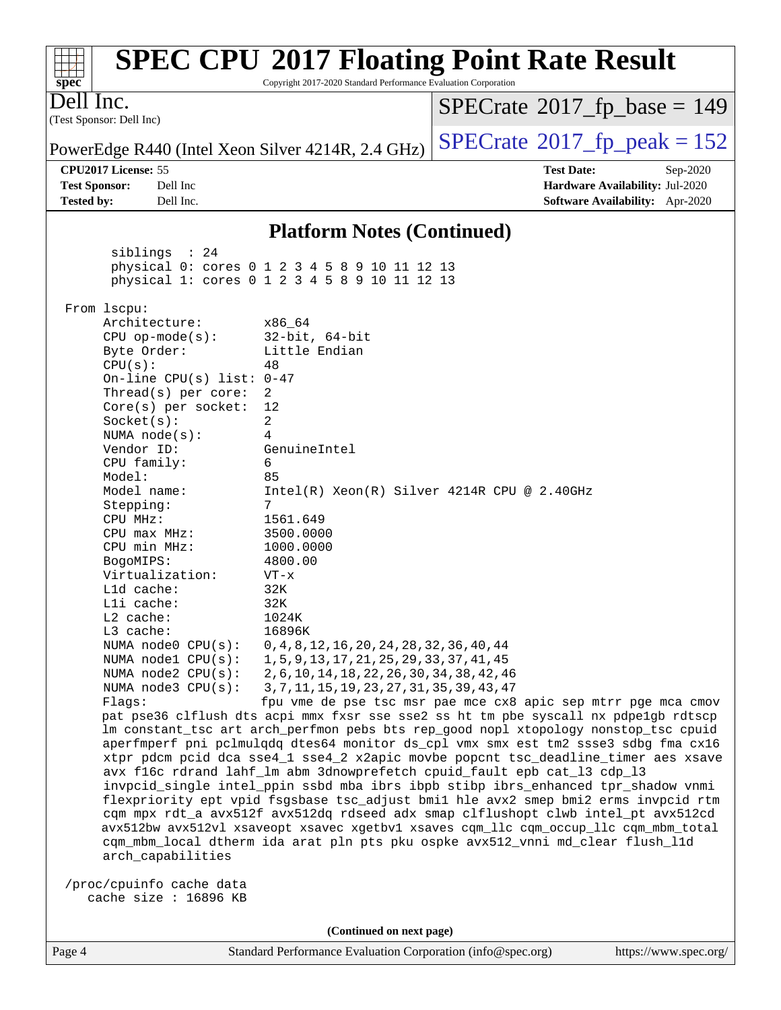### **[SPEC CPU](http://www.spec.org/auto/cpu2017/Docs/result-fields.html#SPECCPU2017FloatingPointRateResult)[2017 Floating Point Rate Result](http://www.spec.org/auto/cpu2017/Docs/result-fields.html#SPECCPU2017FloatingPointRateResult)**  $+\ +$ **[spec](http://www.spec.org/)** Copyright 2017-2020 Standard Performance Evaluation Corporation Dell Inc.  $SPECTate$ <sup>®</sup>[2017\\_fp\\_base =](http://www.spec.org/auto/cpu2017/Docs/result-fields.html#SPECrate2017fpbase) 149 (Test Sponsor: Dell Inc) PowerEdge R440 (Intel Xeon Silver 4214R, 2.4 GHz)  $\left|$  [SPECrate](http://www.spec.org/auto/cpu2017/Docs/result-fields.html#SPECrate2017fppeak)<sup>®</sup>[2017\\_fp\\_peak = 1](http://www.spec.org/auto/cpu2017/Docs/result-fields.html#SPECrate2017fppeak)52 **[CPU2017 License:](http://www.spec.org/auto/cpu2017/Docs/result-fields.html#CPU2017License)** 55 **[Test Date:](http://www.spec.org/auto/cpu2017/Docs/result-fields.html#TestDate)** Sep-2020 **[Test Sponsor:](http://www.spec.org/auto/cpu2017/Docs/result-fields.html#TestSponsor)** Dell Inc **[Hardware Availability:](http://www.spec.org/auto/cpu2017/Docs/result-fields.html#HardwareAvailability)** Jul-2020 **[Tested by:](http://www.spec.org/auto/cpu2017/Docs/result-fields.html#Testedby)** Dell Inc. **[Software Availability:](http://www.spec.org/auto/cpu2017/Docs/result-fields.html#SoftwareAvailability)** Apr-2020 **[Platform Notes \(Continued\)](http://www.spec.org/auto/cpu2017/Docs/result-fields.html#PlatformNotes)** siblings : 24 physical 0: cores 0 1 2 3 4 5 8 9 10 11 12 13 physical 1: cores 0 1 2 3 4 5 8 9 10 11 12 13 From lscpu: Architecture: x86\_64 CPU op-mode(s): 32-bit, 64-bit Byte Order: Little Endian  $CPU(s):$  48 On-line CPU(s) list: 0-47 Thread(s) per core: 2 Core(s) per socket: 12 Socket(s): 2 NUMA node(s): 4 Vendor ID: GenuineIntel CPU family: 6 Model: 85 Model name: Intel(R) Xeon(R) Silver 4214R CPU @ 2.40GHz Stepping: 7 CPU MHz: 1561.649 CPU max MHz: 3500.0000 CPU min MHz: 1000.0000 BogoMIPS: 4800.00 Virtualization: VT-x L1d cache: 32K L1i cache: 32K L2 cache: 1024K L3 cache: 16896K NUMA node0 CPU(s): 0,4,8,12,16,20,24,28,32,36,40,44 NUMA node1 CPU(s): 1,5,9,13,17,21,25,29,33,37,41,45 NUMA node2 CPU(s): 2,6,10,14,18,22,26,30,34,38,42,46 NUMA node3 CPU(s): 3,7,11,15,19,23,27,31,35,39,43,47 Flags: fpu vme de pse tsc msr pae mce cx8 apic sep mtrr pge mca cmov pat pse36 clflush dts acpi mmx fxsr sse sse2 ss ht tm pbe syscall nx pdpe1gb rdtscp lm constant\_tsc art arch\_perfmon pebs bts rep\_good nopl xtopology nonstop\_tsc cpuid aperfmperf pni pclmulqdq dtes64 monitor ds\_cpl vmx smx est tm2 ssse3 sdbg fma cx16 xtpr pdcm pcid dca sse4\_1 sse4\_2 x2apic movbe popcnt tsc\_deadline\_timer aes xsave avx f16c rdrand lahf\_lm abm 3dnowprefetch cpuid\_fault epb cat\_l3 cdp\_l3 invpcid\_single intel\_ppin ssbd mba ibrs ibpb stibp ibrs\_enhanced tpr\_shadow vnmi flexpriority ept vpid fsgsbase tsc\_adjust bmi1 hle avx2 smep bmi2 erms invpcid rtm cqm mpx rdt\_a avx512f avx512dq rdseed adx smap clflushopt clwb intel\_pt avx512cd avx512bw avx512vl xsaveopt xsavec xgetbv1 xsaves cqm\_llc cqm\_occup\_llc cqm\_mbm\_total cqm\_mbm\_local dtherm ida arat pln pts pku ospke avx512\_vnni md\_clear flush\_l1d arch\_capabilities /proc/cpuinfo cache data cache size : 16896 KB **(Continued on next page)**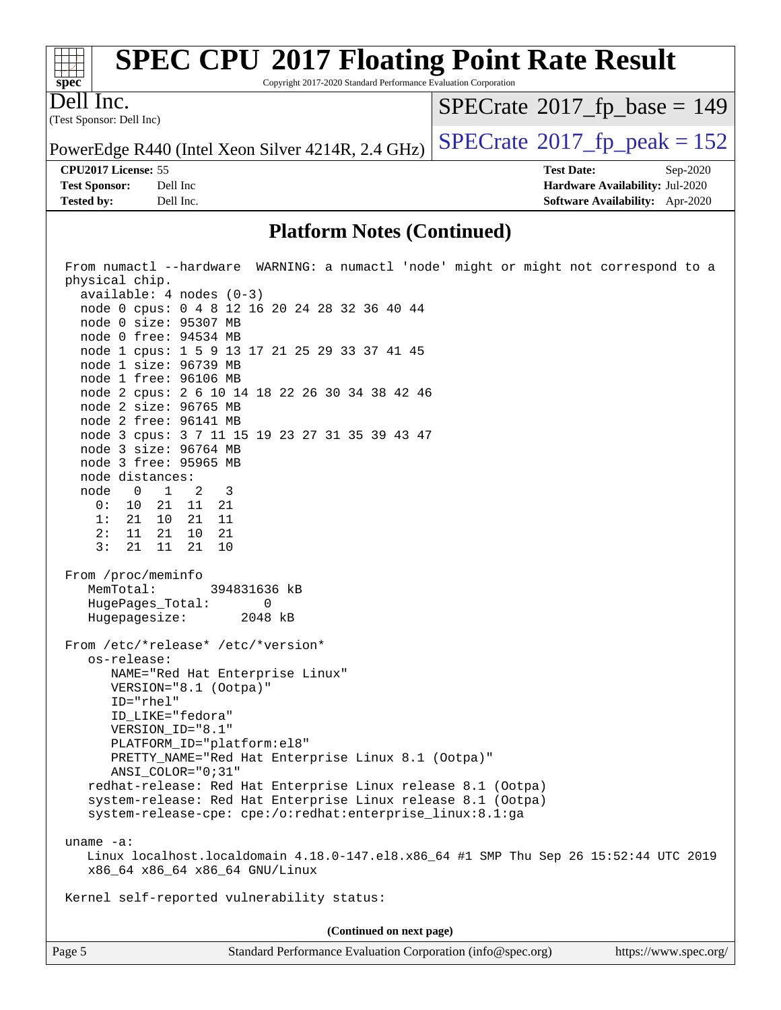

Copyright 2017-2020 Standard Performance Evaluation Corporation

(Test Sponsor: Dell Inc) Dell Inc.

 $SPECrate$ <sup>®</sup>[2017\\_fp\\_base =](http://www.spec.org/auto/cpu2017/Docs/result-fields.html#SPECrate2017fpbase) 149

PowerEdge R440 (Intel Xeon Silver 4214R, 2.4 GHz)  $\left|$  [SPECrate](http://www.spec.org/auto/cpu2017/Docs/result-fields.html#SPECrate2017fppeak)®[2017\\_fp\\_peak = 1](http://www.spec.org/auto/cpu2017/Docs/result-fields.html#SPECrate2017fppeak)52

**[Tested by:](http://www.spec.org/auto/cpu2017/Docs/result-fields.html#Testedby)** Dell Inc. **[Software Availability:](http://www.spec.org/auto/cpu2017/Docs/result-fields.html#SoftwareAvailability)** Apr-2020

**[CPU2017 License:](http://www.spec.org/auto/cpu2017/Docs/result-fields.html#CPU2017License)** 55 **[Test Date:](http://www.spec.org/auto/cpu2017/Docs/result-fields.html#TestDate)** Sep-2020 **[Test Sponsor:](http://www.spec.org/auto/cpu2017/Docs/result-fields.html#TestSponsor)** Dell Inc **[Hardware Availability:](http://www.spec.org/auto/cpu2017/Docs/result-fields.html#HardwareAvailability)** Jul-2020

### **[Platform Notes \(Continued\)](http://www.spec.org/auto/cpu2017/Docs/result-fields.html#PlatformNotes)**

| $available: 4 nodes (0-3)$<br>node 0 cpus: 0 4 8 12 16 20 24 28 32 36 40 44<br>node 0 size: 95307 MB<br>node 0 free: 94534 MB<br>node 1 cpus: 1 5 9 13 17 21 25 29 33 37 41 45<br>node 1 size: 96739 MB<br>node 1 free: 96106 MB<br>node 2 cpus: 2 6 10 14 18 22 26 30 34 38 42 46<br>node 2 size: 96765 MB<br>node 2 free: 96141 MB<br>node 3 cpus: 3 7 11 15 19 23 27 31 35 39 43 47<br>node 3 size: 96764 MB<br>node 3 free: 95965 MB<br>node distances:<br>node 0 1 2<br>$\overline{\phantom{a}}$<br>0:<br>10 21 11<br>21<br>21 10 21<br>11<br>1:<br>2:<br>11 21 10<br>-21<br>3:<br>21 11 21<br>10<br>From /proc/meminfo<br>MemTotal:<br>394831636 kB<br>HugePages_Total:<br>0<br>Hugepagesize: 2048 kB<br>From /etc/*release* /etc/*version*<br>os-release:<br>NAME="Red Hat Enterprise Linux"<br>VERSION="8.1 (Ootpa)"<br>ID="rhel"<br>ID LIKE="fedora"<br>VERSION_ID="8.1"<br>PLATFORM_ID="platform:el8"<br>PRETTY_NAME="Red Hat Enterprise Linux 8.1 (Ootpa)"<br>ANSI_COLOR="0;31"<br>redhat-release: Red Hat Enterprise Linux release 8.1 (Ootpa)<br>system-release: Red Hat Enterprise Linux release 8.1 (Ootpa)<br>system-release-cpe: cpe:/o:redhat:enterprise linux:8.1:qa<br>uname $-a$ :<br>Linux localhost.localdomain 4.18.0-147.el8.x86_64 #1 SMP Thu Sep 26 15:52:44 UTC 2019<br>x86_64 x86_64 x86_64 GNU/Linux<br>Kernel self-reported vulnerability status:<br>(Continued on next page)<br>Standard Performance Evaluation Corporation (info@spec.org)<br>https://www.spec.org/<br>Page 5 | From numactl --hardware WARNING: a numactl 'node' might or might not correspond to a<br>physical chip. |
|----------------------------------------------------------------------------------------------------------------------------------------------------------------------------------------------------------------------------------------------------------------------------------------------------------------------------------------------------------------------------------------------------------------------------------------------------------------------------------------------------------------------------------------------------------------------------------------------------------------------------------------------------------------------------------------------------------------------------------------------------------------------------------------------------------------------------------------------------------------------------------------------------------------------------------------------------------------------------------------------------------------------------------------------------------------------------------------------------------------------------------------------------------------------------------------------------------------------------------------------------------------------------------------------------------------------------------------------------------------------------------------------------------------------------------------------------------------------------------------------------------------|--------------------------------------------------------------------------------------------------------|
|                                                                                                                                                                                                                                                                                                                                                                                                                                                                                                                                                                                                                                                                                                                                                                                                                                                                                                                                                                                                                                                                                                                                                                                                                                                                                                                                                                                                                                                                                                                |                                                                                                        |
|                                                                                                                                                                                                                                                                                                                                                                                                                                                                                                                                                                                                                                                                                                                                                                                                                                                                                                                                                                                                                                                                                                                                                                                                                                                                                                                                                                                                                                                                                                                |                                                                                                        |
|                                                                                                                                                                                                                                                                                                                                                                                                                                                                                                                                                                                                                                                                                                                                                                                                                                                                                                                                                                                                                                                                                                                                                                                                                                                                                                                                                                                                                                                                                                                |                                                                                                        |
|                                                                                                                                                                                                                                                                                                                                                                                                                                                                                                                                                                                                                                                                                                                                                                                                                                                                                                                                                                                                                                                                                                                                                                                                                                                                                                                                                                                                                                                                                                                |                                                                                                        |
|                                                                                                                                                                                                                                                                                                                                                                                                                                                                                                                                                                                                                                                                                                                                                                                                                                                                                                                                                                                                                                                                                                                                                                                                                                                                                                                                                                                                                                                                                                                |                                                                                                        |
|                                                                                                                                                                                                                                                                                                                                                                                                                                                                                                                                                                                                                                                                                                                                                                                                                                                                                                                                                                                                                                                                                                                                                                                                                                                                                                                                                                                                                                                                                                                |                                                                                                        |
|                                                                                                                                                                                                                                                                                                                                                                                                                                                                                                                                                                                                                                                                                                                                                                                                                                                                                                                                                                                                                                                                                                                                                                                                                                                                                                                                                                                                                                                                                                                |                                                                                                        |
|                                                                                                                                                                                                                                                                                                                                                                                                                                                                                                                                                                                                                                                                                                                                                                                                                                                                                                                                                                                                                                                                                                                                                                                                                                                                                                                                                                                                                                                                                                                |                                                                                                        |
|                                                                                                                                                                                                                                                                                                                                                                                                                                                                                                                                                                                                                                                                                                                                                                                                                                                                                                                                                                                                                                                                                                                                                                                                                                                                                                                                                                                                                                                                                                                |                                                                                                        |
|                                                                                                                                                                                                                                                                                                                                                                                                                                                                                                                                                                                                                                                                                                                                                                                                                                                                                                                                                                                                                                                                                                                                                                                                                                                                                                                                                                                                                                                                                                                |                                                                                                        |
|                                                                                                                                                                                                                                                                                                                                                                                                                                                                                                                                                                                                                                                                                                                                                                                                                                                                                                                                                                                                                                                                                                                                                                                                                                                                                                                                                                                                                                                                                                                |                                                                                                        |
|                                                                                                                                                                                                                                                                                                                                                                                                                                                                                                                                                                                                                                                                                                                                                                                                                                                                                                                                                                                                                                                                                                                                                                                                                                                                                                                                                                                                                                                                                                                |                                                                                                        |
|                                                                                                                                                                                                                                                                                                                                                                                                                                                                                                                                                                                                                                                                                                                                                                                                                                                                                                                                                                                                                                                                                                                                                                                                                                                                                                                                                                                                                                                                                                                |                                                                                                        |
|                                                                                                                                                                                                                                                                                                                                                                                                                                                                                                                                                                                                                                                                                                                                                                                                                                                                                                                                                                                                                                                                                                                                                                                                                                                                                                                                                                                                                                                                                                                |                                                                                                        |
|                                                                                                                                                                                                                                                                                                                                                                                                                                                                                                                                                                                                                                                                                                                                                                                                                                                                                                                                                                                                                                                                                                                                                                                                                                                                                                                                                                                                                                                                                                                |                                                                                                        |
|                                                                                                                                                                                                                                                                                                                                                                                                                                                                                                                                                                                                                                                                                                                                                                                                                                                                                                                                                                                                                                                                                                                                                                                                                                                                                                                                                                                                                                                                                                                |                                                                                                        |
|                                                                                                                                                                                                                                                                                                                                                                                                                                                                                                                                                                                                                                                                                                                                                                                                                                                                                                                                                                                                                                                                                                                                                                                                                                                                                                                                                                                                                                                                                                                |                                                                                                        |
|                                                                                                                                                                                                                                                                                                                                                                                                                                                                                                                                                                                                                                                                                                                                                                                                                                                                                                                                                                                                                                                                                                                                                                                                                                                                                                                                                                                                                                                                                                                |                                                                                                        |
|                                                                                                                                                                                                                                                                                                                                                                                                                                                                                                                                                                                                                                                                                                                                                                                                                                                                                                                                                                                                                                                                                                                                                                                                                                                                                                                                                                                                                                                                                                                |                                                                                                        |
|                                                                                                                                                                                                                                                                                                                                                                                                                                                                                                                                                                                                                                                                                                                                                                                                                                                                                                                                                                                                                                                                                                                                                                                                                                                                                                                                                                                                                                                                                                                |                                                                                                        |
|                                                                                                                                                                                                                                                                                                                                                                                                                                                                                                                                                                                                                                                                                                                                                                                                                                                                                                                                                                                                                                                                                                                                                                                                                                                                                                                                                                                                                                                                                                                |                                                                                                        |
|                                                                                                                                                                                                                                                                                                                                                                                                                                                                                                                                                                                                                                                                                                                                                                                                                                                                                                                                                                                                                                                                                                                                                                                                                                                                                                                                                                                                                                                                                                                |                                                                                                        |
|                                                                                                                                                                                                                                                                                                                                                                                                                                                                                                                                                                                                                                                                                                                                                                                                                                                                                                                                                                                                                                                                                                                                                                                                                                                                                                                                                                                                                                                                                                                |                                                                                                        |
|                                                                                                                                                                                                                                                                                                                                                                                                                                                                                                                                                                                                                                                                                                                                                                                                                                                                                                                                                                                                                                                                                                                                                                                                                                                                                                                                                                                                                                                                                                                |                                                                                                        |
|                                                                                                                                                                                                                                                                                                                                                                                                                                                                                                                                                                                                                                                                                                                                                                                                                                                                                                                                                                                                                                                                                                                                                                                                                                                                                                                                                                                                                                                                                                                |                                                                                                        |
|                                                                                                                                                                                                                                                                                                                                                                                                                                                                                                                                                                                                                                                                                                                                                                                                                                                                                                                                                                                                                                                                                                                                                                                                                                                                                                                                                                                                                                                                                                                |                                                                                                        |
|                                                                                                                                                                                                                                                                                                                                                                                                                                                                                                                                                                                                                                                                                                                                                                                                                                                                                                                                                                                                                                                                                                                                                                                                                                                                                                                                                                                                                                                                                                                |                                                                                                        |
|                                                                                                                                                                                                                                                                                                                                                                                                                                                                                                                                                                                                                                                                                                                                                                                                                                                                                                                                                                                                                                                                                                                                                                                                                                                                                                                                                                                                                                                                                                                |                                                                                                        |
|                                                                                                                                                                                                                                                                                                                                                                                                                                                                                                                                                                                                                                                                                                                                                                                                                                                                                                                                                                                                                                                                                                                                                                                                                                                                                                                                                                                                                                                                                                                |                                                                                                        |
|                                                                                                                                                                                                                                                                                                                                                                                                                                                                                                                                                                                                                                                                                                                                                                                                                                                                                                                                                                                                                                                                                                                                                                                                                                                                                                                                                                                                                                                                                                                |                                                                                                        |
|                                                                                                                                                                                                                                                                                                                                                                                                                                                                                                                                                                                                                                                                                                                                                                                                                                                                                                                                                                                                                                                                                                                                                                                                                                                                                                                                                                                                                                                                                                                |                                                                                                        |
|                                                                                                                                                                                                                                                                                                                                                                                                                                                                                                                                                                                                                                                                                                                                                                                                                                                                                                                                                                                                                                                                                                                                                                                                                                                                                                                                                                                                                                                                                                                |                                                                                                        |
|                                                                                                                                                                                                                                                                                                                                                                                                                                                                                                                                                                                                                                                                                                                                                                                                                                                                                                                                                                                                                                                                                                                                                                                                                                                                                                                                                                                                                                                                                                                |                                                                                                        |
|                                                                                                                                                                                                                                                                                                                                                                                                                                                                                                                                                                                                                                                                                                                                                                                                                                                                                                                                                                                                                                                                                                                                                                                                                                                                                                                                                                                                                                                                                                                |                                                                                                        |
|                                                                                                                                                                                                                                                                                                                                                                                                                                                                                                                                                                                                                                                                                                                                                                                                                                                                                                                                                                                                                                                                                                                                                                                                                                                                                                                                                                                                                                                                                                                |                                                                                                        |
|                                                                                                                                                                                                                                                                                                                                                                                                                                                                                                                                                                                                                                                                                                                                                                                                                                                                                                                                                                                                                                                                                                                                                                                                                                                                                                                                                                                                                                                                                                                |                                                                                                        |
|                                                                                                                                                                                                                                                                                                                                                                                                                                                                                                                                                                                                                                                                                                                                                                                                                                                                                                                                                                                                                                                                                                                                                                                                                                                                                                                                                                                                                                                                                                                |                                                                                                        |
|                                                                                                                                                                                                                                                                                                                                                                                                                                                                                                                                                                                                                                                                                                                                                                                                                                                                                                                                                                                                                                                                                                                                                                                                                                                                                                                                                                                                                                                                                                                |                                                                                                        |
|                                                                                                                                                                                                                                                                                                                                                                                                                                                                                                                                                                                                                                                                                                                                                                                                                                                                                                                                                                                                                                                                                                                                                                                                                                                                                                                                                                                                                                                                                                                |                                                                                                        |
|                                                                                                                                                                                                                                                                                                                                                                                                                                                                                                                                                                                                                                                                                                                                                                                                                                                                                                                                                                                                                                                                                                                                                                                                                                                                                                                                                                                                                                                                                                                |                                                                                                        |
|                                                                                                                                                                                                                                                                                                                                                                                                                                                                                                                                                                                                                                                                                                                                                                                                                                                                                                                                                                                                                                                                                                                                                                                                                                                                                                                                                                                                                                                                                                                |                                                                                                        |
|                                                                                                                                                                                                                                                                                                                                                                                                                                                                                                                                                                                                                                                                                                                                                                                                                                                                                                                                                                                                                                                                                                                                                                                                                                                                                                                                                                                                                                                                                                                |                                                                                                        |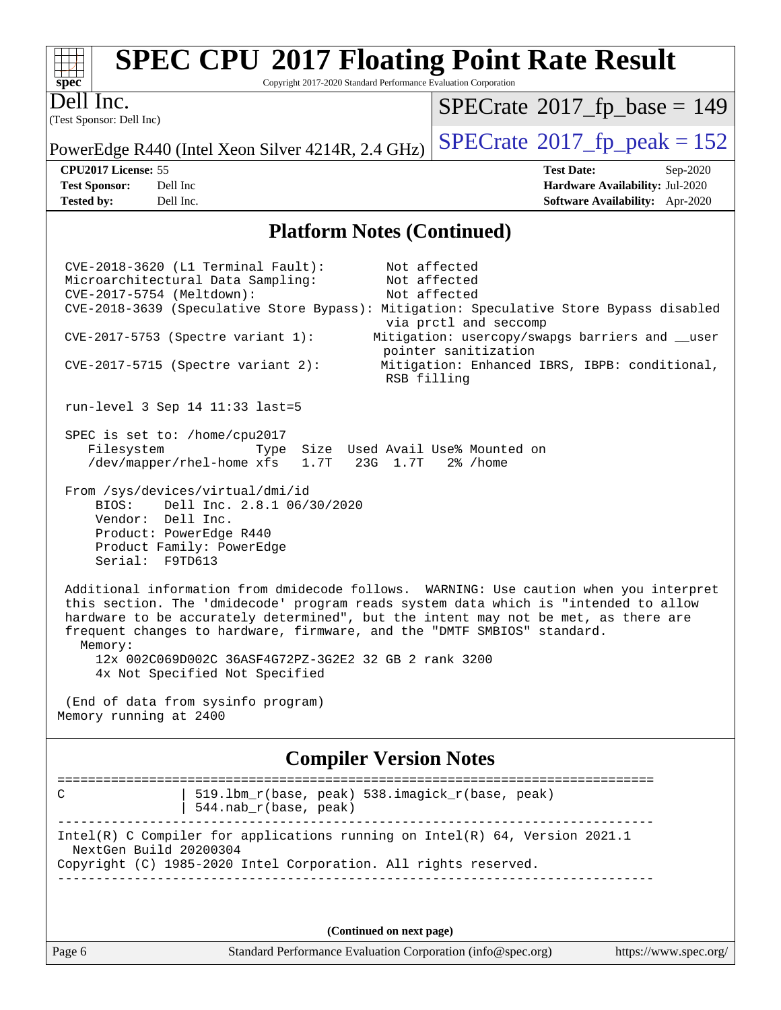

Copyright 2017-2020 Standard Performance Evaluation Corporation

(Test Sponsor: Dell Inc) Dell Inc.

 $SPECTate$ <sup>®</sup>[2017\\_fp\\_base =](http://www.spec.org/auto/cpu2017/Docs/result-fields.html#SPECrate2017fpbase) 149

PowerEdge R440 (Intel Xeon Silver 4214R, 2.4 GHz)  $\left|$  [SPECrate](http://www.spec.org/auto/cpu2017/Docs/result-fields.html#SPECrate2017fppeak)<sup>®</sup>[2017\\_fp\\_peak = 1](http://www.spec.org/auto/cpu2017/Docs/result-fields.html#SPECrate2017fppeak)52

**[CPU2017 License:](http://www.spec.org/auto/cpu2017/Docs/result-fields.html#CPU2017License)** 55 **[Test Date:](http://www.spec.org/auto/cpu2017/Docs/result-fields.html#TestDate)** Sep-2020 **[Test Sponsor:](http://www.spec.org/auto/cpu2017/Docs/result-fields.html#TestSponsor)** Dell Inc **[Hardware Availability:](http://www.spec.org/auto/cpu2017/Docs/result-fields.html#HardwareAvailability)** Jul-2020 **[Tested by:](http://www.spec.org/auto/cpu2017/Docs/result-fields.html#Testedby)** Dell Inc. **[Software Availability:](http://www.spec.org/auto/cpu2017/Docs/result-fields.html#SoftwareAvailability)** Apr-2020

### **[Platform Notes \(Continued\)](http://www.spec.org/auto/cpu2017/Docs/result-fields.html#PlatformNotes)**

 CVE-2018-3620 (L1 Terminal Fault): Not affected Microarchitectural Data Sampling: CVE-2017-5754 (Meltdown): Not affected CVE-2018-3639 (Speculative Store Bypass): Mitigation: Speculative Store Bypass disabled via prctl and seccomp CVE-2017-5753 (Spectre variant 1): Mitigation: usercopy/swapgs barriers and \_\_user pointer sanitization CVE-2017-5715 (Spectre variant 2): Mitigation: Enhanced IBRS, IBPB: conditional, RSB filling run-level 3 Sep 14 11:33 last=5 SPEC is set to: /home/cpu2017 Filesystem Type Size Used Avail Use% Mounted on /dev/mapper/rhel-home xfs 1.7T 23G 1.7T 2% /home From /sys/devices/virtual/dmi/id BIOS: Dell Inc. 2.8.1 06/30/2020 Vendor: Dell Inc. Product: PowerEdge R440 Product Family: PowerEdge Serial: F9TD613 Additional information from dmidecode follows. WARNING: Use caution when you interpret this section. The 'dmidecode' program reads system data which is "intended to allow hardware to be accurately determined", but the intent may not be met, as there are frequent changes to hardware, firmware, and the "DMTF SMBIOS" standard. Memory: 12x 002C069D002C 36ASF4G72PZ-3G2E2 32 GB 2 rank 3200 4x Not Specified Not Specified (End of data from sysinfo program) Memory running at 2400 **[Compiler Version Notes](http://www.spec.org/auto/cpu2017/Docs/result-fields.html#CompilerVersionNotes)** ============================================================================== C | 519.lbm\_r(base, peak) 538.imagick\_r(base, peak) | 544.nab\_r(base, peak) ------------------------------------------------------------------------------ Intel(R) C Compiler for applications running on Intel(R) 64, Version 2021.1 NextGen Build 20200304 Copyright (C) 1985-2020 Intel Corporation. All rights reserved. ------------------------------------------------------------------------------

**(Continued on next page)**

Page 6 Standard Performance Evaluation Corporation [\(info@spec.org\)](mailto:info@spec.org) <https://www.spec.org/>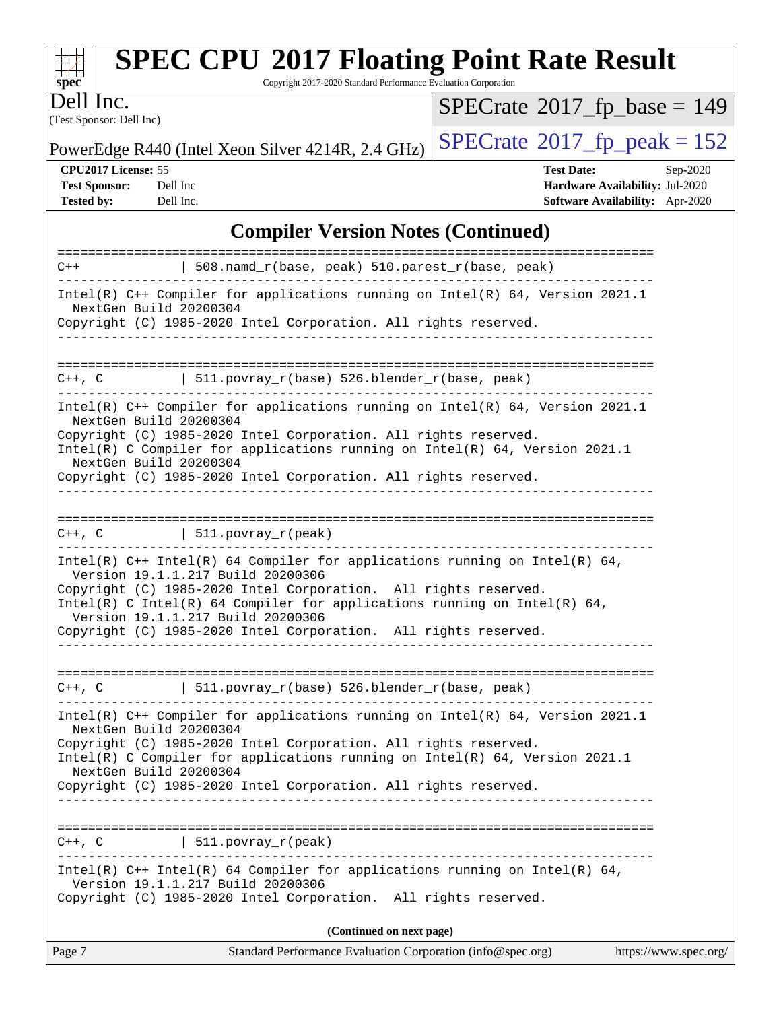

Copyright 2017-2020 Standard Performance Evaluation Corporation

(Test Sponsor: Dell Inc) Dell Inc.

 $SPECrate$ <sup>®</sup>[2017\\_fp\\_base =](http://www.spec.org/auto/cpu2017/Docs/result-fields.html#SPECrate2017fpbase) 149

PowerEdge R440 (Intel Xeon Silver 4214R, 2.4 GHz)  $\left|$  [SPECrate](http://www.spec.org/auto/cpu2017/Docs/result-fields.html#SPECrate2017fppeak)®[2017\\_fp\\_peak = 1](http://www.spec.org/auto/cpu2017/Docs/result-fields.html#SPECrate2017fppeak)52

**[CPU2017 License:](http://www.spec.org/auto/cpu2017/Docs/result-fields.html#CPU2017License)** 55 **[Test Date:](http://www.spec.org/auto/cpu2017/Docs/result-fields.html#TestDate)** Sep-2020 **[Test Sponsor:](http://www.spec.org/auto/cpu2017/Docs/result-fields.html#TestSponsor)** Dell Inc **[Hardware Availability:](http://www.spec.org/auto/cpu2017/Docs/result-fields.html#HardwareAvailability)** Jul-2020 **[Tested by:](http://www.spec.org/auto/cpu2017/Docs/result-fields.html#Testedby)** Dell Inc. **[Software Availability:](http://www.spec.org/auto/cpu2017/Docs/result-fields.html#SoftwareAvailability)** Apr-2020

### **[Compiler Version Notes \(Continued\)](http://www.spec.org/auto/cpu2017/Docs/result-fields.html#CompilerVersionNotes)**

| $C++$       | 508.namd_r(base, peak) 510.parest_r(base, peak)                                                                                                                                                                                                                                                                                                                          |
|-------------|--------------------------------------------------------------------------------------------------------------------------------------------------------------------------------------------------------------------------------------------------------------------------------------------------------------------------------------------------------------------------|
|             | Intel(R) $C++$ Compiler for applications running on Intel(R) 64, Version 2021.1<br>NextGen Build 20200304<br>Copyright (C) 1985-2020 Intel Corporation. All rights reserved.                                                                                                                                                                                             |
|             |                                                                                                                                                                                                                                                                                                                                                                          |
|             | C++, C $ 511.povray_r(base) 526.blender_r(base, peak)$                                                                                                                                                                                                                                                                                                                   |
|             | Intel(R) C++ Compiler for applications running on Intel(R) 64, Version 2021.1<br>NextGen Build 20200304<br>Copyright (C) 1985-2020 Intel Corporation. All rights reserved.<br>Intel(R) C Compiler for applications running on Intel(R) 64, Version 2021.1<br>NextGen Build 20200304<br>Copyright (C) 1985-2020 Intel Corporation. All rights reserved.                   |
|             | $C++$ , C $\qquad \qquad \vert$ 511.povray_r(peak)                                                                                                                                                                                                                                                                                                                       |
|             | Intel(R) $C++$ Intel(R) 64 Compiler for applications running on Intel(R) 64,<br>Version 19.1.1.217 Build 20200306<br>Copyright (C) 1985-2020 Intel Corporation. All rights reserved.<br>Intel(R) C Intel(R) 64 Compiler for applications running on Intel(R) 64,<br>Version 19.1.1.217 Build 20200306<br>Copyright (C) 1985-2020 Intel Corporation. All rights reserved. |
|             | C++, C $\vert$ 511.povray_r(base) 526.blender_r(base, peak)                                                                                                                                                                                                                                                                                                              |
|             | Intel(R) $C++$ Compiler for applications running on Intel(R) 64, Version 2021.1<br>NextGen Build 20200304                                                                                                                                                                                                                                                                |
|             | Copyright (C) 1985-2020 Intel Corporation. All rights reserved.<br>Intel(R) C Compiler for applications running on $Intel(R) 64$ , Version 2021.1<br>NextGen Build 20200304                                                                                                                                                                                              |
|             | Copyright (C) 1985-2020 Intel Corporation. All rights reserved.                                                                                                                                                                                                                                                                                                          |
| $C++$ , $C$ | $511. povray_r (peak)$                                                                                                                                                                                                                                                                                                                                                   |
|             | Intel(R) $C++$ Intel(R) 64 Compiler for applications running on Intel(R) 64,<br>Version 19.1.1.217 Build 20200306<br>Copyright (C) 1985-2020 Intel Corporation. All rights reserved.                                                                                                                                                                                     |
|             | (Continued on next page)                                                                                                                                                                                                                                                                                                                                                 |
| Page 7      | Standard Performance Evaluation Corporation (info@spec.org)<br>https://www.spec.org/                                                                                                                                                                                                                                                                                     |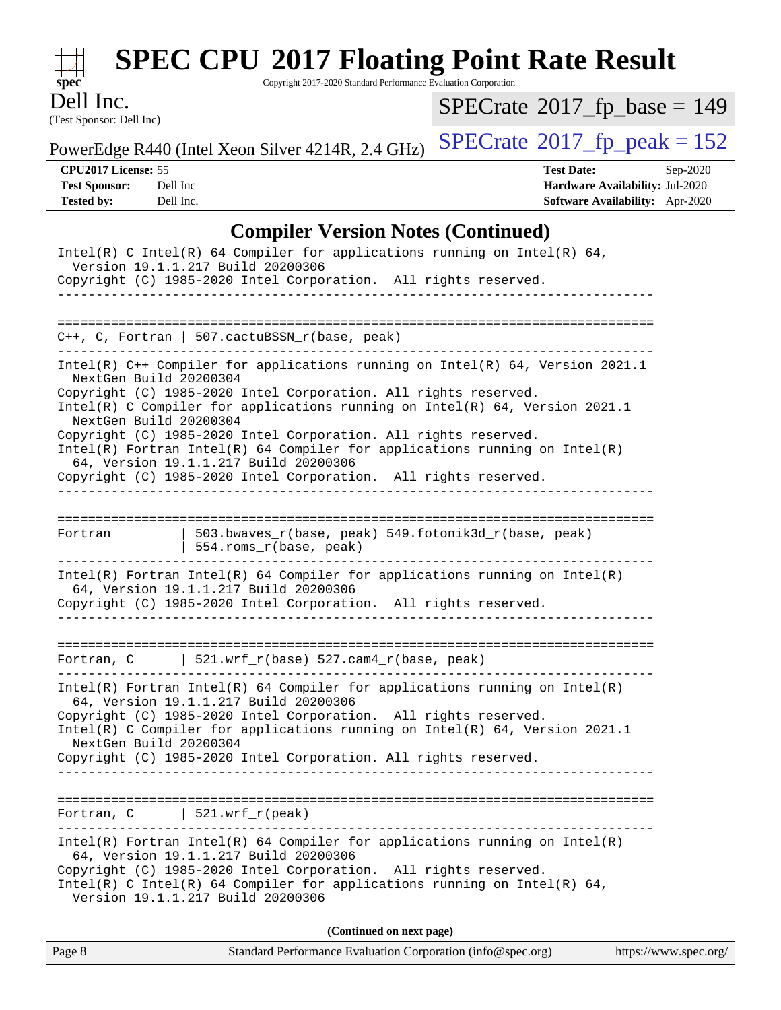

Copyright 2017-2020 Standard Performance Evaluation Corporation

(Test Sponsor: Dell Inc) Dell Inc.

 $SPECrate$ <sup>®</sup>[2017\\_fp\\_base =](http://www.spec.org/auto/cpu2017/Docs/result-fields.html#SPECrate2017fpbase) 149

PowerEdge R440 (Intel Xeon Silver 4214R, 2.4 GHz)  $\left|$  [SPECrate](http://www.spec.org/auto/cpu2017/Docs/result-fields.html#SPECrate2017fppeak)®[2017\\_fp\\_peak = 1](http://www.spec.org/auto/cpu2017/Docs/result-fields.html#SPECrate2017fppeak)52

**[CPU2017 License:](http://www.spec.org/auto/cpu2017/Docs/result-fields.html#CPU2017License)** 55 **[Test Date:](http://www.spec.org/auto/cpu2017/Docs/result-fields.html#TestDate)** Sep-2020 **[Test Sponsor:](http://www.spec.org/auto/cpu2017/Docs/result-fields.html#TestSponsor)** Dell Inc **[Hardware Availability:](http://www.spec.org/auto/cpu2017/Docs/result-fields.html#HardwareAvailability)** Jul-2020 **[Tested by:](http://www.spec.org/auto/cpu2017/Docs/result-fields.html#Testedby)** Dell Inc. **[Software Availability:](http://www.spec.org/auto/cpu2017/Docs/result-fields.html#SoftwareAvailability)** Apr-2020

### **[Compiler Version Notes \(Continued\)](http://www.spec.org/auto/cpu2017/Docs/result-fields.html#CompilerVersionNotes)**

| Intel(R) C Intel(R) 64 Compiler for applications running on Intel(R) 64,<br>Version 19.1.1.217 Build 20200306<br>Copyright (C) 1985-2020 Intel Corporation. All rights reserved.<br>________________                                                                                                                                                                                                                                                                                                                                                  |  |  |  |
|-------------------------------------------------------------------------------------------------------------------------------------------------------------------------------------------------------------------------------------------------------------------------------------------------------------------------------------------------------------------------------------------------------------------------------------------------------------------------------------------------------------------------------------------------------|--|--|--|
| $C++$ , C, Fortran   507.cactuBSSN_r(base, peak)<br>----------------------<br>_______________                                                                                                                                                                                                                                                                                                                                                                                                                                                         |  |  |  |
| Intel(R) C++ Compiler for applications running on Intel(R) 64, Version 2021.1<br>NextGen Build 20200304<br>Copyright (C) 1985-2020 Intel Corporation. All rights reserved.<br>Intel(R) C Compiler for applications running on Intel(R) $64$ , Version 2021.1<br>NextGen Build 20200304<br>Copyright (C) 1985-2020 Intel Corporation. All rights reserved.<br>$Intel(R)$ Fortran Intel(R) 64 Compiler for applications running on Intel(R)<br>64, Version 19.1.1.217 Build 20200306<br>Copyright (C) 1985-2020 Intel Corporation. All rights reserved. |  |  |  |
| 503.bwaves_r(base, peak) 549.fotonik3d_r(base, peak)<br>Fortran<br>$  554$ .roms r(base, peak)                                                                                                                                                                                                                                                                                                                                                                                                                                                        |  |  |  |
| $Intel(R)$ Fortran Intel(R) 64 Compiler for applications running on Intel(R)<br>64, Version 19.1.1.217 Build 20200306<br>Copyright (C) 1985-2020 Intel Corporation. All rights reserved.                                                                                                                                                                                                                                                                                                                                                              |  |  |  |
| Fortran, $C$   521.wrf_r(base) 527.cam4_r(base, peak)                                                                                                                                                                                                                                                                                                                                                                                                                                                                                                 |  |  |  |
| $Intel(R)$ Fortran Intel(R) 64 Compiler for applications running on Intel(R)<br>64, Version 19.1.1.217 Build 20200306<br>Copyright (C) 1985-2020 Intel Corporation. All rights reserved.<br>Intel(R) C Compiler for applications running on $Intel(R) 64$ , Version 2021.1<br>NextGen Build 20200304<br>Copyright (C) 1985-2020 Intel Corporation. All rights reserved.                                                                                                                                                                               |  |  |  |
| Fortran, $C$   521.wrf_r(peak)                                                                                                                                                                                                                                                                                                                                                                                                                                                                                                                        |  |  |  |
| $Intel(R)$ Fortran Intel(R) 64 Compiler for applications running on Intel(R)<br>64, Version 19.1.1.217 Build 20200306<br>Copyright (C) 1985-2020 Intel Corporation. All rights reserved.<br>Intel(R) C Intel(R) 64 Compiler for applications running on Intel(R) 64,<br>Version 19.1.1.217 Build 20200306                                                                                                                                                                                                                                             |  |  |  |
| (Continued on next page)                                                                                                                                                                                                                                                                                                                                                                                                                                                                                                                              |  |  |  |

Page 8 Standard Performance Evaluation Corporation [\(info@spec.org\)](mailto:info@spec.org) <https://www.spec.org/>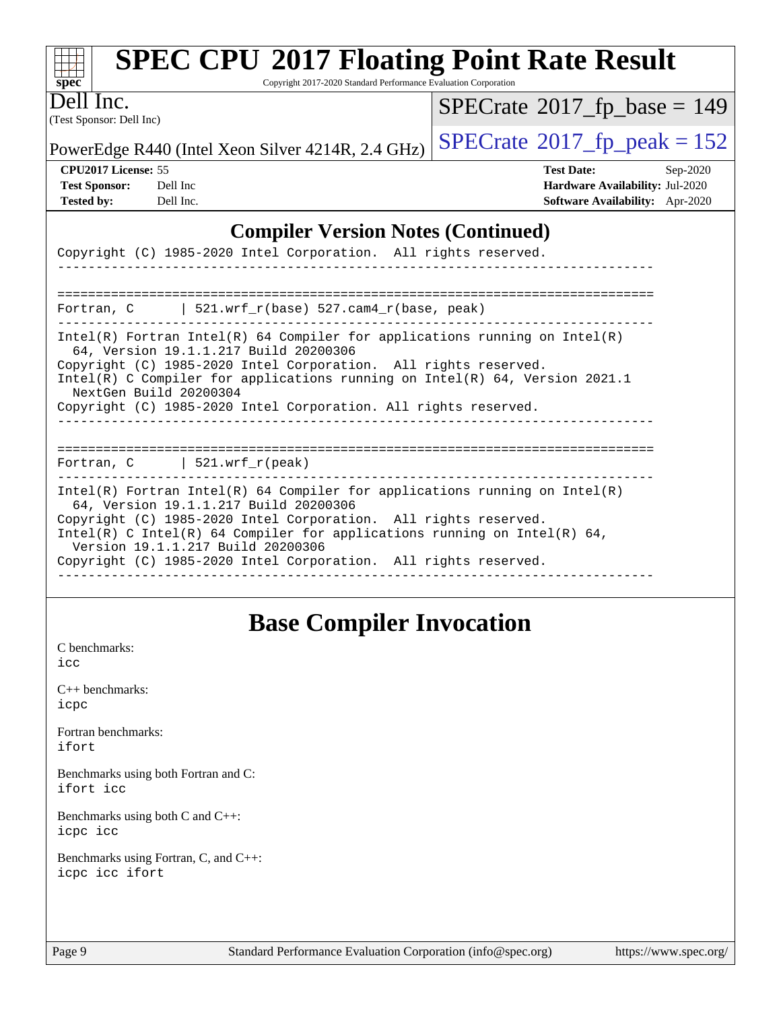| spec <sup>®</sup><br>Copyright 2017-2020 Standard Performance Evaluation Corporation<br>Dell Inc.                                                                                                                                                                                                                                                                  | $SPECrate^{\circledcirc}2017$ fp base = 149                        |
|--------------------------------------------------------------------------------------------------------------------------------------------------------------------------------------------------------------------------------------------------------------------------------------------------------------------------------------------------------------------|--------------------------------------------------------------------|
| (Test Sponsor: Dell Inc)                                                                                                                                                                                                                                                                                                                                           |                                                                    |
| PowerEdge R440 (Intel Xeon Silver 4214R, 2.4 GHz)                                                                                                                                                                                                                                                                                                                  | $SPECTate$ <sup>®</sup> 2017_fp_peak = 152                         |
| CPU2017 License: 55                                                                                                                                                                                                                                                                                                                                                | <b>Test Date:</b><br>Sep-2020                                      |
| <b>Test Sponsor:</b><br>Dell Inc<br><b>Tested by:</b><br>Dell Inc.                                                                                                                                                                                                                                                                                                 | Hardware Availability: Jul-2020<br>Software Availability: Apr-2020 |
| <b>Compiler Version Notes (Continued)</b><br>Copyright (C) 1985-2020 Intel Corporation. All rights reserved.<br>  521.wrf_r(base) 527.cam4_r(base, peak)<br>Fortran, C                                                                                                                                                                                             |                                                                    |
| Intel(R) Fortran Intel(R) 64 Compiler for applications running on Intel(R)<br>64, Version 19.1.1.217 Build 20200306<br>Copyright (C) 1985-2020 Intel Corporation. All rights reserved.<br>Intel(R) C Compiler for applications running on Intel(R) 64, Version 2021.1<br>NextGen Build 20200304<br>Copyright (C) 1985-2020 Intel Corporation. All rights reserved. |                                                                    |
| Fortran, $C$   521.wrf $r(\text{peak})$                                                                                                                                                                                                                                                                                                                            |                                                                    |
| $Intel(R)$ Fortran Intel(R) 64 Compiler for applications running on Intel(R)<br>64, Version 19.1.1.217 Build 20200306                                                                                                                                                                                                                                              |                                                                    |

 64, Version 19.1.1.217 Build 20200306 Copyright (C) 1985-2020 Intel Corporation. All rights reserved. Intel(R) C Intel(R) 64 Compiler for applications running on Intel(R)  $64$ , Version 19.1.1.217 Build 20200306 Copyright (C) 1985-2020 Intel Corporation. All rights reserved.

### ------------------------------------------------------------------------------

### **[Base Compiler Invocation](http://www.spec.org/auto/cpu2017/Docs/result-fields.html#BaseCompilerInvocation)**

[C benchmarks](http://www.spec.org/auto/cpu2017/Docs/result-fields.html#Cbenchmarks): [icc](http://www.spec.org/cpu2017/results/res2020q4/cpu2017-20200928-24076.flags.html#user_CCbase_intel_icc_66fc1ee009f7361af1fbd72ca7dcefbb700085f36577c54f309893dd4ec40d12360134090235512931783d35fd58c0460139e722d5067c5574d8eaf2b3e37e92)

[C++ benchmarks:](http://www.spec.org/auto/cpu2017/Docs/result-fields.html#CXXbenchmarks) [icpc](http://www.spec.org/cpu2017/results/res2020q4/cpu2017-20200928-24076.flags.html#user_CXXbase_intel_icpc_c510b6838c7f56d33e37e94d029a35b4a7bccf4766a728ee175e80a419847e808290a9b78be685c44ab727ea267ec2f070ec5dc83b407c0218cded6866a35d07)

[Fortran benchmarks](http://www.spec.org/auto/cpu2017/Docs/result-fields.html#Fortranbenchmarks): [ifort](http://www.spec.org/cpu2017/results/res2020q4/cpu2017-20200928-24076.flags.html#user_FCbase_intel_ifort_8111460550e3ca792625aed983ce982f94888b8b503583aa7ba2b8303487b4d8a21a13e7191a45c5fd58ff318f48f9492884d4413fa793fd88dd292cad7027ca)

[Benchmarks using both Fortran and C](http://www.spec.org/auto/cpu2017/Docs/result-fields.html#BenchmarksusingbothFortranandC): [ifort](http://www.spec.org/cpu2017/results/res2020q4/cpu2017-20200928-24076.flags.html#user_CC_FCbase_intel_ifort_8111460550e3ca792625aed983ce982f94888b8b503583aa7ba2b8303487b4d8a21a13e7191a45c5fd58ff318f48f9492884d4413fa793fd88dd292cad7027ca) [icc](http://www.spec.org/cpu2017/results/res2020q4/cpu2017-20200928-24076.flags.html#user_CC_FCbase_intel_icc_66fc1ee009f7361af1fbd72ca7dcefbb700085f36577c54f309893dd4ec40d12360134090235512931783d35fd58c0460139e722d5067c5574d8eaf2b3e37e92)

[Benchmarks using both C and C++](http://www.spec.org/auto/cpu2017/Docs/result-fields.html#BenchmarksusingbothCandCXX): [icpc](http://www.spec.org/cpu2017/results/res2020q4/cpu2017-20200928-24076.flags.html#user_CC_CXXbase_intel_icpc_c510b6838c7f56d33e37e94d029a35b4a7bccf4766a728ee175e80a419847e808290a9b78be685c44ab727ea267ec2f070ec5dc83b407c0218cded6866a35d07) [icc](http://www.spec.org/cpu2017/results/res2020q4/cpu2017-20200928-24076.flags.html#user_CC_CXXbase_intel_icc_66fc1ee009f7361af1fbd72ca7dcefbb700085f36577c54f309893dd4ec40d12360134090235512931783d35fd58c0460139e722d5067c5574d8eaf2b3e37e92)

[Benchmarks using Fortran, C, and C++:](http://www.spec.org/auto/cpu2017/Docs/result-fields.html#BenchmarksusingFortranCandCXX) [icpc](http://www.spec.org/cpu2017/results/res2020q4/cpu2017-20200928-24076.flags.html#user_CC_CXX_FCbase_intel_icpc_c510b6838c7f56d33e37e94d029a35b4a7bccf4766a728ee175e80a419847e808290a9b78be685c44ab727ea267ec2f070ec5dc83b407c0218cded6866a35d07) [icc](http://www.spec.org/cpu2017/results/res2020q4/cpu2017-20200928-24076.flags.html#user_CC_CXX_FCbase_intel_icc_66fc1ee009f7361af1fbd72ca7dcefbb700085f36577c54f309893dd4ec40d12360134090235512931783d35fd58c0460139e722d5067c5574d8eaf2b3e37e92) [ifort](http://www.spec.org/cpu2017/results/res2020q4/cpu2017-20200928-24076.flags.html#user_CC_CXX_FCbase_intel_ifort_8111460550e3ca792625aed983ce982f94888b8b503583aa7ba2b8303487b4d8a21a13e7191a45c5fd58ff318f48f9492884d4413fa793fd88dd292cad7027ca)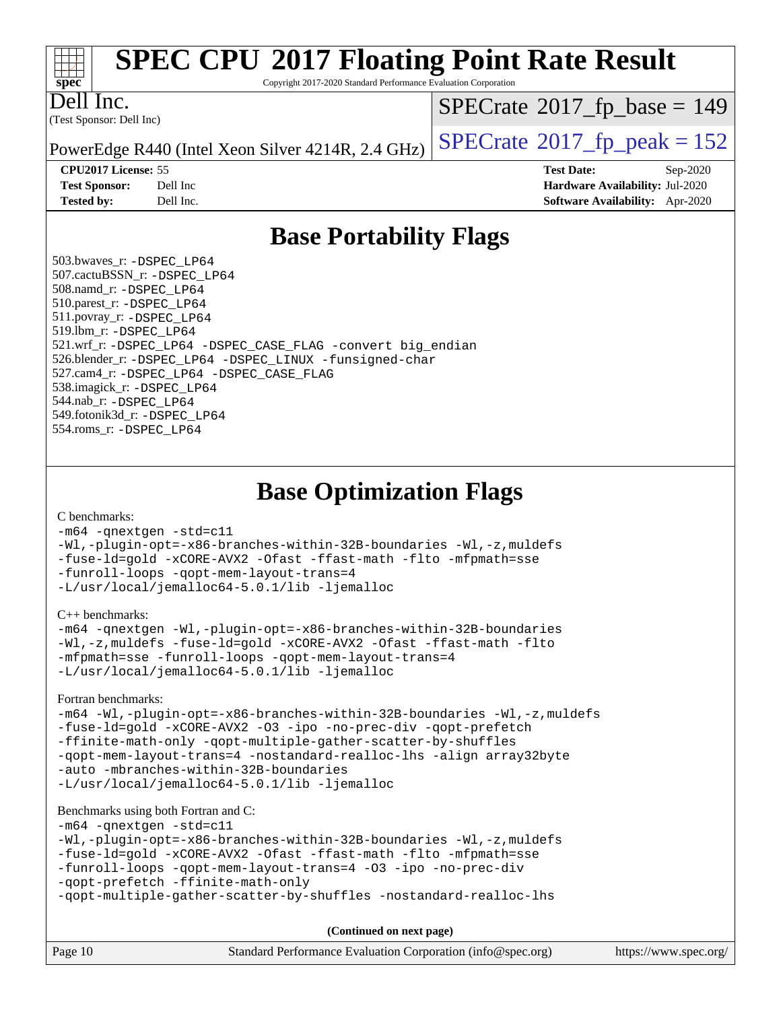

Copyright 2017-2020 Standard Performance Evaluation Corporation

Dell Inc.

(Test Sponsor: Dell Inc)

 $SPECrate$ <sup>®</sup>[2017\\_fp\\_base =](http://www.spec.org/auto/cpu2017/Docs/result-fields.html#SPECrate2017fpbase) 149

PowerEdge R440 (Intel Xeon Silver 4214R, 2.4 GHz)  $\left|$  [SPECrate](http://www.spec.org/auto/cpu2017/Docs/result-fields.html#SPECrate2017fppeak)<sup>®</sup>[2017\\_fp\\_peak = 1](http://www.spec.org/auto/cpu2017/Docs/result-fields.html#SPECrate2017fppeak)52

**[CPU2017 License:](http://www.spec.org/auto/cpu2017/Docs/result-fields.html#CPU2017License)** 55 **[Test Date:](http://www.spec.org/auto/cpu2017/Docs/result-fields.html#TestDate)** Sep-2020 **[Test Sponsor:](http://www.spec.org/auto/cpu2017/Docs/result-fields.html#TestSponsor)** Dell Inc **[Hardware Availability:](http://www.spec.org/auto/cpu2017/Docs/result-fields.html#HardwareAvailability)** Jul-2020 **[Tested by:](http://www.spec.org/auto/cpu2017/Docs/result-fields.html#Testedby)** Dell Inc. **[Software Availability:](http://www.spec.org/auto/cpu2017/Docs/result-fields.html#SoftwareAvailability)** Apr-2020

### **[Base Portability Flags](http://www.spec.org/auto/cpu2017/Docs/result-fields.html#BasePortabilityFlags)**

 503.bwaves\_r: [-DSPEC\\_LP64](http://www.spec.org/cpu2017/results/res2020q4/cpu2017-20200928-24076.flags.html#suite_basePORTABILITY503_bwaves_r_DSPEC_LP64) 507.cactuBSSN\_r: [-DSPEC\\_LP64](http://www.spec.org/cpu2017/results/res2020q4/cpu2017-20200928-24076.flags.html#suite_basePORTABILITY507_cactuBSSN_r_DSPEC_LP64) 508.namd\_r: [-DSPEC\\_LP64](http://www.spec.org/cpu2017/results/res2020q4/cpu2017-20200928-24076.flags.html#suite_basePORTABILITY508_namd_r_DSPEC_LP64) 510.parest\_r: [-DSPEC\\_LP64](http://www.spec.org/cpu2017/results/res2020q4/cpu2017-20200928-24076.flags.html#suite_basePORTABILITY510_parest_r_DSPEC_LP64) 511.povray\_r: [-DSPEC\\_LP64](http://www.spec.org/cpu2017/results/res2020q4/cpu2017-20200928-24076.flags.html#suite_basePORTABILITY511_povray_r_DSPEC_LP64) 519.lbm\_r: [-DSPEC\\_LP64](http://www.spec.org/cpu2017/results/res2020q4/cpu2017-20200928-24076.flags.html#suite_basePORTABILITY519_lbm_r_DSPEC_LP64) 521.wrf\_r: [-DSPEC\\_LP64](http://www.spec.org/cpu2017/results/res2020q4/cpu2017-20200928-24076.flags.html#suite_basePORTABILITY521_wrf_r_DSPEC_LP64) [-DSPEC\\_CASE\\_FLAG](http://www.spec.org/cpu2017/results/res2020q4/cpu2017-20200928-24076.flags.html#b521.wrf_r_baseCPORTABILITY_DSPEC_CASE_FLAG) [-convert big\\_endian](http://www.spec.org/cpu2017/results/res2020q4/cpu2017-20200928-24076.flags.html#user_baseFPORTABILITY521_wrf_r_convert_big_endian_c3194028bc08c63ac5d04de18c48ce6d347e4e562e8892b8bdbdc0214820426deb8554edfa529a3fb25a586e65a3d812c835984020483e7e73212c4d31a38223) 526.blender\_r: [-DSPEC\\_LP64](http://www.spec.org/cpu2017/results/res2020q4/cpu2017-20200928-24076.flags.html#suite_basePORTABILITY526_blender_r_DSPEC_LP64) [-DSPEC\\_LINUX](http://www.spec.org/cpu2017/results/res2020q4/cpu2017-20200928-24076.flags.html#b526.blender_r_baseCPORTABILITY_DSPEC_LINUX) [-funsigned-char](http://www.spec.org/cpu2017/results/res2020q4/cpu2017-20200928-24076.flags.html#user_baseCPORTABILITY526_blender_r_force_uchar_40c60f00ab013830e2dd6774aeded3ff59883ba5a1fc5fc14077f794d777847726e2a5858cbc7672e36e1b067e7e5c1d9a74f7176df07886a243d7cc18edfe67) 527.cam4\_r: [-DSPEC\\_LP64](http://www.spec.org/cpu2017/results/res2020q4/cpu2017-20200928-24076.flags.html#suite_basePORTABILITY527_cam4_r_DSPEC_LP64) [-DSPEC\\_CASE\\_FLAG](http://www.spec.org/cpu2017/results/res2020q4/cpu2017-20200928-24076.flags.html#b527.cam4_r_baseCPORTABILITY_DSPEC_CASE_FLAG) 538.imagick\_r: [-DSPEC\\_LP64](http://www.spec.org/cpu2017/results/res2020q4/cpu2017-20200928-24076.flags.html#suite_basePORTABILITY538_imagick_r_DSPEC_LP64) 544.nab\_r: [-DSPEC\\_LP64](http://www.spec.org/cpu2017/results/res2020q4/cpu2017-20200928-24076.flags.html#suite_basePORTABILITY544_nab_r_DSPEC_LP64) 549.fotonik3d\_r: [-DSPEC\\_LP64](http://www.spec.org/cpu2017/results/res2020q4/cpu2017-20200928-24076.flags.html#suite_basePORTABILITY549_fotonik3d_r_DSPEC_LP64) 554.roms\_r: [-DSPEC\\_LP64](http://www.spec.org/cpu2017/results/res2020q4/cpu2017-20200928-24076.flags.html#suite_basePORTABILITY554_roms_r_DSPEC_LP64)

**[Base Optimization Flags](http://www.spec.org/auto/cpu2017/Docs/result-fields.html#BaseOptimizationFlags)**

### [C benchmarks](http://www.spec.org/auto/cpu2017/Docs/result-fields.html#Cbenchmarks):

[-m64](http://www.spec.org/cpu2017/results/res2020q4/cpu2017-20200928-24076.flags.html#user_CCbase_m64-icc) [-qnextgen](http://www.spec.org/cpu2017/results/res2020q4/cpu2017-20200928-24076.flags.html#user_CCbase_f-qnextgen) [-std=c11](http://www.spec.org/cpu2017/results/res2020q4/cpu2017-20200928-24076.flags.html#user_CCbase_std-icc-std_0e1c27790398a4642dfca32ffe6c27b5796f9c2d2676156f2e42c9c44eaad0c049b1cdb667a270c34d979996257aeb8fc440bfb01818dbc9357bd9d174cb8524) [-Wl,-plugin-opt=-x86-branches-within-32B-boundaries](http://www.spec.org/cpu2017/results/res2020q4/cpu2017-20200928-24076.flags.html#user_CCbase_f-x86-branches-within-32B-boundaries_0098b4e4317ae60947b7b728078a624952a08ac37a3c797dfb4ffeb399e0c61a9dd0f2f44ce917e9361fb9076ccb15e7824594512dd315205382d84209e912f3) [-Wl,-z,muldefs](http://www.spec.org/cpu2017/results/res2020q4/cpu2017-20200928-24076.flags.html#user_CCbase_link_force_multiple1_b4cbdb97b34bdee9ceefcfe54f4c8ea74255f0b02a4b23e853cdb0e18eb4525ac79b5a88067c842dd0ee6996c24547a27a4b99331201badda8798ef8a743f577) [-fuse-ld=gold](http://www.spec.org/cpu2017/results/res2020q4/cpu2017-20200928-24076.flags.html#user_CCbase_f-fuse-ld_920b3586e2b8c6e0748b9c84fa9b744736ba725a32cab14ad8f3d4ad28eecb2f59d1144823d2e17006539a88734fe1fc08fc3035f7676166309105a78aaabc32) [-xCORE-AVX2](http://www.spec.org/cpu2017/results/res2020q4/cpu2017-20200928-24076.flags.html#user_CCbase_f-xCORE-AVX2) [-Ofast](http://www.spec.org/cpu2017/results/res2020q4/cpu2017-20200928-24076.flags.html#user_CCbase_f-Ofast) [-ffast-math](http://www.spec.org/cpu2017/results/res2020q4/cpu2017-20200928-24076.flags.html#user_CCbase_f-ffast-math) [-flto](http://www.spec.org/cpu2017/results/res2020q4/cpu2017-20200928-24076.flags.html#user_CCbase_f-flto) [-mfpmath=sse](http://www.spec.org/cpu2017/results/res2020q4/cpu2017-20200928-24076.flags.html#user_CCbase_f-mfpmath_70eb8fac26bde974f8ab713bc9086c5621c0b8d2f6c86f38af0bd7062540daf19db5f3a066d8c6684be05d84c9b6322eb3b5be6619d967835195b93d6c02afa1) [-funroll-loops](http://www.spec.org/cpu2017/results/res2020q4/cpu2017-20200928-24076.flags.html#user_CCbase_f-funroll-loops) [-qopt-mem-layout-trans=4](http://www.spec.org/cpu2017/results/res2020q4/cpu2017-20200928-24076.flags.html#user_CCbase_f-qopt-mem-layout-trans_fa39e755916c150a61361b7846f310bcdf6f04e385ef281cadf3647acec3f0ae266d1a1d22d972a7087a248fd4e6ca390a3634700869573d231a252c784941a8) [-L/usr/local/jemalloc64-5.0.1/lib](http://www.spec.org/cpu2017/results/res2020q4/cpu2017-20200928-24076.flags.html#user_CCbase_jemalloc_link_path64_1_cc289568b1a6c0fd3b62c91b824c27fcb5af5e8098e6ad028160d21144ef1b8aef3170d2acf0bee98a8da324cfe4f67d0a3d0c4cc4673d993d694dc2a0df248b) [-ljemalloc](http://www.spec.org/cpu2017/results/res2020q4/cpu2017-20200928-24076.flags.html#user_CCbase_jemalloc_link_lib_d1249b907c500fa1c0672f44f562e3d0f79738ae9e3c4a9c376d49f265a04b9c99b167ecedbf6711b3085be911c67ff61f150a17b3472be731631ba4d0471706)

[C++ benchmarks:](http://www.spec.org/auto/cpu2017/Docs/result-fields.html#CXXbenchmarks)

[-m64](http://www.spec.org/cpu2017/results/res2020q4/cpu2017-20200928-24076.flags.html#user_CXXbase_m64-icc) [-qnextgen](http://www.spec.org/cpu2017/results/res2020q4/cpu2017-20200928-24076.flags.html#user_CXXbase_f-qnextgen) [-Wl,-plugin-opt=-x86-branches-within-32B-boundaries](http://www.spec.org/cpu2017/results/res2020q4/cpu2017-20200928-24076.flags.html#user_CXXbase_f-x86-branches-within-32B-boundaries_0098b4e4317ae60947b7b728078a624952a08ac37a3c797dfb4ffeb399e0c61a9dd0f2f44ce917e9361fb9076ccb15e7824594512dd315205382d84209e912f3) [-Wl,-z,muldefs](http://www.spec.org/cpu2017/results/res2020q4/cpu2017-20200928-24076.flags.html#user_CXXbase_link_force_multiple1_b4cbdb97b34bdee9ceefcfe54f4c8ea74255f0b02a4b23e853cdb0e18eb4525ac79b5a88067c842dd0ee6996c24547a27a4b99331201badda8798ef8a743f577) [-fuse-ld=gold](http://www.spec.org/cpu2017/results/res2020q4/cpu2017-20200928-24076.flags.html#user_CXXbase_f-fuse-ld_920b3586e2b8c6e0748b9c84fa9b744736ba725a32cab14ad8f3d4ad28eecb2f59d1144823d2e17006539a88734fe1fc08fc3035f7676166309105a78aaabc32) [-xCORE-AVX2](http://www.spec.org/cpu2017/results/res2020q4/cpu2017-20200928-24076.flags.html#user_CXXbase_f-xCORE-AVX2) [-Ofast](http://www.spec.org/cpu2017/results/res2020q4/cpu2017-20200928-24076.flags.html#user_CXXbase_f-Ofast) [-ffast-math](http://www.spec.org/cpu2017/results/res2020q4/cpu2017-20200928-24076.flags.html#user_CXXbase_f-ffast-math) [-flto](http://www.spec.org/cpu2017/results/res2020q4/cpu2017-20200928-24076.flags.html#user_CXXbase_f-flto) [-mfpmath=sse](http://www.spec.org/cpu2017/results/res2020q4/cpu2017-20200928-24076.flags.html#user_CXXbase_f-mfpmath_70eb8fac26bde974f8ab713bc9086c5621c0b8d2f6c86f38af0bd7062540daf19db5f3a066d8c6684be05d84c9b6322eb3b5be6619d967835195b93d6c02afa1) [-funroll-loops](http://www.spec.org/cpu2017/results/res2020q4/cpu2017-20200928-24076.flags.html#user_CXXbase_f-funroll-loops) [-qopt-mem-layout-trans=4](http://www.spec.org/cpu2017/results/res2020q4/cpu2017-20200928-24076.flags.html#user_CXXbase_f-qopt-mem-layout-trans_fa39e755916c150a61361b7846f310bcdf6f04e385ef281cadf3647acec3f0ae266d1a1d22d972a7087a248fd4e6ca390a3634700869573d231a252c784941a8) [-L/usr/local/jemalloc64-5.0.1/lib](http://www.spec.org/cpu2017/results/res2020q4/cpu2017-20200928-24076.flags.html#user_CXXbase_jemalloc_link_path64_1_cc289568b1a6c0fd3b62c91b824c27fcb5af5e8098e6ad028160d21144ef1b8aef3170d2acf0bee98a8da324cfe4f67d0a3d0c4cc4673d993d694dc2a0df248b) [-ljemalloc](http://www.spec.org/cpu2017/results/res2020q4/cpu2017-20200928-24076.flags.html#user_CXXbase_jemalloc_link_lib_d1249b907c500fa1c0672f44f562e3d0f79738ae9e3c4a9c376d49f265a04b9c99b167ecedbf6711b3085be911c67ff61f150a17b3472be731631ba4d0471706)

[Fortran benchmarks](http://www.spec.org/auto/cpu2017/Docs/result-fields.html#Fortranbenchmarks):

[-m64](http://www.spec.org/cpu2017/results/res2020q4/cpu2017-20200928-24076.flags.html#user_FCbase_m64-icc) [-Wl,-plugin-opt=-x86-branches-within-32B-boundaries](http://www.spec.org/cpu2017/results/res2020q4/cpu2017-20200928-24076.flags.html#user_FCbase_f-x86-branches-within-32B-boundaries_0098b4e4317ae60947b7b728078a624952a08ac37a3c797dfb4ffeb399e0c61a9dd0f2f44ce917e9361fb9076ccb15e7824594512dd315205382d84209e912f3) [-Wl,-z,muldefs](http://www.spec.org/cpu2017/results/res2020q4/cpu2017-20200928-24076.flags.html#user_FCbase_link_force_multiple1_b4cbdb97b34bdee9ceefcfe54f4c8ea74255f0b02a4b23e853cdb0e18eb4525ac79b5a88067c842dd0ee6996c24547a27a4b99331201badda8798ef8a743f577) [-fuse-ld=gold](http://www.spec.org/cpu2017/results/res2020q4/cpu2017-20200928-24076.flags.html#user_FCbase_f-fuse-ld_920b3586e2b8c6e0748b9c84fa9b744736ba725a32cab14ad8f3d4ad28eecb2f59d1144823d2e17006539a88734fe1fc08fc3035f7676166309105a78aaabc32) [-xCORE-AVX2](http://www.spec.org/cpu2017/results/res2020q4/cpu2017-20200928-24076.flags.html#user_FCbase_f-xCORE-AVX2) [-O3](http://www.spec.org/cpu2017/results/res2020q4/cpu2017-20200928-24076.flags.html#user_FCbase_f-O3) [-ipo](http://www.spec.org/cpu2017/results/res2020q4/cpu2017-20200928-24076.flags.html#user_FCbase_f-ipo) [-no-prec-div](http://www.spec.org/cpu2017/results/res2020q4/cpu2017-20200928-24076.flags.html#user_FCbase_f-no-prec-div) [-qopt-prefetch](http://www.spec.org/cpu2017/results/res2020q4/cpu2017-20200928-24076.flags.html#user_FCbase_f-qopt-prefetch) [-ffinite-math-only](http://www.spec.org/cpu2017/results/res2020q4/cpu2017-20200928-24076.flags.html#user_FCbase_f_finite_math_only_cb91587bd2077682c4b38af759c288ed7c732db004271a9512da14a4f8007909a5f1427ecbf1a0fb78ff2a814402c6114ac565ca162485bbcae155b5e4258871) [-qopt-multiple-gather-scatter-by-shuffles](http://www.spec.org/cpu2017/results/res2020q4/cpu2017-20200928-24076.flags.html#user_FCbase_f-qopt-multiple-gather-scatter-by-shuffles) [-qopt-mem-layout-trans=4](http://www.spec.org/cpu2017/results/res2020q4/cpu2017-20200928-24076.flags.html#user_FCbase_f-qopt-mem-layout-trans_fa39e755916c150a61361b7846f310bcdf6f04e385ef281cadf3647acec3f0ae266d1a1d22d972a7087a248fd4e6ca390a3634700869573d231a252c784941a8) [-nostandard-realloc-lhs](http://www.spec.org/cpu2017/results/res2020q4/cpu2017-20200928-24076.flags.html#user_FCbase_f_2003_std_realloc_82b4557e90729c0f113870c07e44d33d6f5a304b4f63d4c15d2d0f1fab99f5daaed73bdb9275d9ae411527f28b936061aa8b9c8f2d63842963b95c9dd6426b8a) [-align array32byte](http://www.spec.org/cpu2017/results/res2020q4/cpu2017-20200928-24076.flags.html#user_FCbase_align_array32byte_b982fe038af199962ba9a80c053b8342c548c85b40b8e86eb3cc33dee0d7986a4af373ac2d51c3f7cf710a18d62fdce2948f201cd044323541f22fc0fffc51b6) [-auto](http://www.spec.org/cpu2017/results/res2020q4/cpu2017-20200928-24076.flags.html#user_FCbase_f-auto) [-mbranches-within-32B-boundaries](http://www.spec.org/cpu2017/results/res2020q4/cpu2017-20200928-24076.flags.html#user_FCbase_f-mbranches-within-32B-boundaries) [-L/usr/local/jemalloc64-5.0.1/lib](http://www.spec.org/cpu2017/results/res2020q4/cpu2017-20200928-24076.flags.html#user_FCbase_jemalloc_link_path64_1_cc289568b1a6c0fd3b62c91b824c27fcb5af5e8098e6ad028160d21144ef1b8aef3170d2acf0bee98a8da324cfe4f67d0a3d0c4cc4673d993d694dc2a0df248b) [-ljemalloc](http://www.spec.org/cpu2017/results/res2020q4/cpu2017-20200928-24076.flags.html#user_FCbase_jemalloc_link_lib_d1249b907c500fa1c0672f44f562e3d0f79738ae9e3c4a9c376d49f265a04b9c99b167ecedbf6711b3085be911c67ff61f150a17b3472be731631ba4d0471706)

[Benchmarks using both Fortran and C](http://www.spec.org/auto/cpu2017/Docs/result-fields.html#BenchmarksusingbothFortranandC):

```
-m64 -qnextgen -std=c11
-Wl,-plugin-opt=-x86-branches-within-32B-boundaries -Wl,-z,muldefs
-fuse-ld=gold -xCORE-AVX2 -Ofast -ffast-math -flto -mfpmath=sse
-funroll-loops -qopt-mem-layout-trans=4 -O3 -ipo -no-prec-div
-qopt-prefetch -ffinite-math-only
-qopt-multiple-gather-scatter-by-shuffles -nostandard-realloc-lhs
```
**(Continued on next page)**

| Page 10 | Standard Performance Evaluation Corporation (info@spec.org) | https://www.spec.org/ |
|---------|-------------------------------------------------------------|-----------------------|
|---------|-------------------------------------------------------------|-----------------------|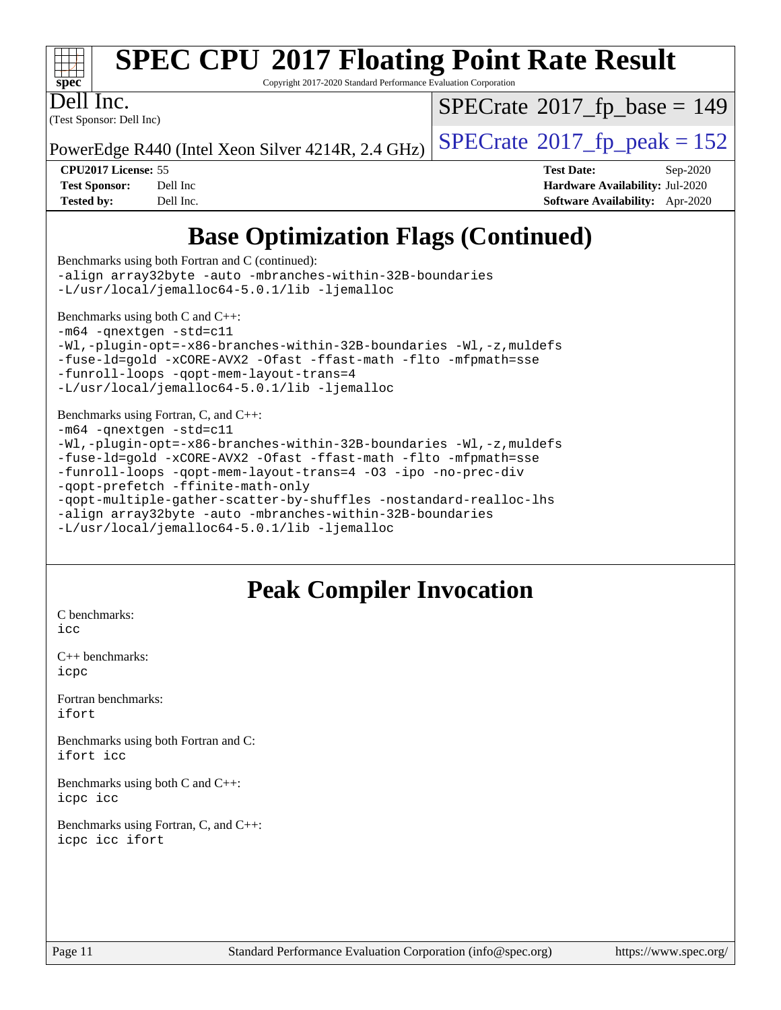

Copyright 2017-2020 Standard Performance Evaluation Corporation

Dell Inc.

(Test Sponsor: Dell Inc)

 $SPECTate$ <sup>®</sup>[2017\\_fp\\_base =](http://www.spec.org/auto/cpu2017/Docs/result-fields.html#SPECrate2017fpbase) 149

PowerEdge R440 (Intel Xeon Silver 4214R, 2.4 GHz)  $\left|$  [SPECrate](http://www.spec.org/auto/cpu2017/Docs/result-fields.html#SPECrate2017fppeak)<sup>®</sup>[2017\\_fp\\_peak = 1](http://www.spec.org/auto/cpu2017/Docs/result-fields.html#SPECrate2017fppeak)52

**[CPU2017 License:](http://www.spec.org/auto/cpu2017/Docs/result-fields.html#CPU2017License)** 55 **[Test Date:](http://www.spec.org/auto/cpu2017/Docs/result-fields.html#TestDate)** Sep-2020 **[Test Sponsor:](http://www.spec.org/auto/cpu2017/Docs/result-fields.html#TestSponsor)** Dell Inc **[Hardware Availability:](http://www.spec.org/auto/cpu2017/Docs/result-fields.html#HardwareAvailability)** Jul-2020 **[Tested by:](http://www.spec.org/auto/cpu2017/Docs/result-fields.html#Testedby)** Dell Inc. **[Software Availability:](http://www.spec.org/auto/cpu2017/Docs/result-fields.html#SoftwareAvailability)** Apr-2020

## **[Base Optimization Flags \(Continued\)](http://www.spec.org/auto/cpu2017/Docs/result-fields.html#BaseOptimizationFlags)**

[Benchmarks using both Fortran and C](http://www.spec.org/auto/cpu2017/Docs/result-fields.html#BenchmarksusingbothFortranandC) (continued): [-align array32byte](http://www.spec.org/cpu2017/results/res2020q4/cpu2017-20200928-24076.flags.html#user_CC_FCbase_align_array32byte_b982fe038af199962ba9a80c053b8342c548c85b40b8e86eb3cc33dee0d7986a4af373ac2d51c3f7cf710a18d62fdce2948f201cd044323541f22fc0fffc51b6) [-auto](http://www.spec.org/cpu2017/results/res2020q4/cpu2017-20200928-24076.flags.html#user_CC_FCbase_f-auto) [-mbranches-within-32B-boundaries](http://www.spec.org/cpu2017/results/res2020q4/cpu2017-20200928-24076.flags.html#user_CC_FCbase_f-mbranches-within-32B-boundaries) [-L/usr/local/jemalloc64-5.0.1/lib](http://www.spec.org/cpu2017/results/res2020q4/cpu2017-20200928-24076.flags.html#user_CC_FCbase_jemalloc_link_path64_1_cc289568b1a6c0fd3b62c91b824c27fcb5af5e8098e6ad028160d21144ef1b8aef3170d2acf0bee98a8da324cfe4f67d0a3d0c4cc4673d993d694dc2a0df248b) [-ljemalloc](http://www.spec.org/cpu2017/results/res2020q4/cpu2017-20200928-24076.flags.html#user_CC_FCbase_jemalloc_link_lib_d1249b907c500fa1c0672f44f562e3d0f79738ae9e3c4a9c376d49f265a04b9c99b167ecedbf6711b3085be911c67ff61f150a17b3472be731631ba4d0471706) [Benchmarks using both C and C++](http://www.spec.org/auto/cpu2017/Docs/result-fields.html#BenchmarksusingbothCandCXX): [-m64](http://www.spec.org/cpu2017/results/res2020q4/cpu2017-20200928-24076.flags.html#user_CC_CXXbase_m64-icc) [-qnextgen](http://www.spec.org/cpu2017/results/res2020q4/cpu2017-20200928-24076.flags.html#user_CC_CXXbase_f-qnextgen) [-std=c11](http://www.spec.org/cpu2017/results/res2020q4/cpu2017-20200928-24076.flags.html#user_CC_CXXbase_std-icc-std_0e1c27790398a4642dfca32ffe6c27b5796f9c2d2676156f2e42c9c44eaad0c049b1cdb667a270c34d979996257aeb8fc440bfb01818dbc9357bd9d174cb8524) [-Wl,-plugin-opt=-x86-branches-within-32B-boundaries](http://www.spec.org/cpu2017/results/res2020q4/cpu2017-20200928-24076.flags.html#user_CC_CXXbase_f-x86-branches-within-32B-boundaries_0098b4e4317ae60947b7b728078a624952a08ac37a3c797dfb4ffeb399e0c61a9dd0f2f44ce917e9361fb9076ccb15e7824594512dd315205382d84209e912f3) [-Wl,-z,muldefs](http://www.spec.org/cpu2017/results/res2020q4/cpu2017-20200928-24076.flags.html#user_CC_CXXbase_link_force_multiple1_b4cbdb97b34bdee9ceefcfe54f4c8ea74255f0b02a4b23e853cdb0e18eb4525ac79b5a88067c842dd0ee6996c24547a27a4b99331201badda8798ef8a743f577) [-fuse-ld=gold](http://www.spec.org/cpu2017/results/res2020q4/cpu2017-20200928-24076.flags.html#user_CC_CXXbase_f-fuse-ld_920b3586e2b8c6e0748b9c84fa9b744736ba725a32cab14ad8f3d4ad28eecb2f59d1144823d2e17006539a88734fe1fc08fc3035f7676166309105a78aaabc32) [-xCORE-AVX2](http://www.spec.org/cpu2017/results/res2020q4/cpu2017-20200928-24076.flags.html#user_CC_CXXbase_f-xCORE-AVX2) [-Ofast](http://www.spec.org/cpu2017/results/res2020q4/cpu2017-20200928-24076.flags.html#user_CC_CXXbase_f-Ofast) [-ffast-math](http://www.spec.org/cpu2017/results/res2020q4/cpu2017-20200928-24076.flags.html#user_CC_CXXbase_f-ffast-math) [-flto](http://www.spec.org/cpu2017/results/res2020q4/cpu2017-20200928-24076.flags.html#user_CC_CXXbase_f-flto) [-mfpmath=sse](http://www.spec.org/cpu2017/results/res2020q4/cpu2017-20200928-24076.flags.html#user_CC_CXXbase_f-mfpmath_70eb8fac26bde974f8ab713bc9086c5621c0b8d2f6c86f38af0bd7062540daf19db5f3a066d8c6684be05d84c9b6322eb3b5be6619d967835195b93d6c02afa1) [-funroll-loops](http://www.spec.org/cpu2017/results/res2020q4/cpu2017-20200928-24076.flags.html#user_CC_CXXbase_f-funroll-loops) [-qopt-mem-layout-trans=4](http://www.spec.org/cpu2017/results/res2020q4/cpu2017-20200928-24076.flags.html#user_CC_CXXbase_f-qopt-mem-layout-trans_fa39e755916c150a61361b7846f310bcdf6f04e385ef281cadf3647acec3f0ae266d1a1d22d972a7087a248fd4e6ca390a3634700869573d231a252c784941a8) [-L/usr/local/jemalloc64-5.0.1/lib](http://www.spec.org/cpu2017/results/res2020q4/cpu2017-20200928-24076.flags.html#user_CC_CXXbase_jemalloc_link_path64_1_cc289568b1a6c0fd3b62c91b824c27fcb5af5e8098e6ad028160d21144ef1b8aef3170d2acf0bee98a8da324cfe4f67d0a3d0c4cc4673d993d694dc2a0df248b) [-ljemalloc](http://www.spec.org/cpu2017/results/res2020q4/cpu2017-20200928-24076.flags.html#user_CC_CXXbase_jemalloc_link_lib_d1249b907c500fa1c0672f44f562e3d0f79738ae9e3c4a9c376d49f265a04b9c99b167ecedbf6711b3085be911c67ff61f150a17b3472be731631ba4d0471706)

[Benchmarks using Fortran, C, and C++:](http://www.spec.org/auto/cpu2017/Docs/result-fields.html#BenchmarksusingFortranCandCXX) [-m64](http://www.spec.org/cpu2017/results/res2020q4/cpu2017-20200928-24076.flags.html#user_CC_CXX_FCbase_m64-icc) [-qnextgen](http://www.spec.org/cpu2017/results/res2020q4/cpu2017-20200928-24076.flags.html#user_CC_CXX_FCbase_f-qnextgen) [-std=c11](http://www.spec.org/cpu2017/results/res2020q4/cpu2017-20200928-24076.flags.html#user_CC_CXX_FCbase_std-icc-std_0e1c27790398a4642dfca32ffe6c27b5796f9c2d2676156f2e42c9c44eaad0c049b1cdb667a270c34d979996257aeb8fc440bfb01818dbc9357bd9d174cb8524) [-Wl,-plugin-opt=-x86-branches-within-32B-boundaries](http://www.spec.org/cpu2017/results/res2020q4/cpu2017-20200928-24076.flags.html#user_CC_CXX_FCbase_f-x86-branches-within-32B-boundaries_0098b4e4317ae60947b7b728078a624952a08ac37a3c797dfb4ffeb399e0c61a9dd0f2f44ce917e9361fb9076ccb15e7824594512dd315205382d84209e912f3) [-Wl,-z,muldefs](http://www.spec.org/cpu2017/results/res2020q4/cpu2017-20200928-24076.flags.html#user_CC_CXX_FCbase_link_force_multiple1_b4cbdb97b34bdee9ceefcfe54f4c8ea74255f0b02a4b23e853cdb0e18eb4525ac79b5a88067c842dd0ee6996c24547a27a4b99331201badda8798ef8a743f577) [-fuse-ld=gold](http://www.spec.org/cpu2017/results/res2020q4/cpu2017-20200928-24076.flags.html#user_CC_CXX_FCbase_f-fuse-ld_920b3586e2b8c6e0748b9c84fa9b744736ba725a32cab14ad8f3d4ad28eecb2f59d1144823d2e17006539a88734fe1fc08fc3035f7676166309105a78aaabc32) [-xCORE-AVX2](http://www.spec.org/cpu2017/results/res2020q4/cpu2017-20200928-24076.flags.html#user_CC_CXX_FCbase_f-xCORE-AVX2) [-Ofast](http://www.spec.org/cpu2017/results/res2020q4/cpu2017-20200928-24076.flags.html#user_CC_CXX_FCbase_f-Ofast) [-ffast-math](http://www.spec.org/cpu2017/results/res2020q4/cpu2017-20200928-24076.flags.html#user_CC_CXX_FCbase_f-ffast-math) [-flto](http://www.spec.org/cpu2017/results/res2020q4/cpu2017-20200928-24076.flags.html#user_CC_CXX_FCbase_f-flto) [-mfpmath=sse](http://www.spec.org/cpu2017/results/res2020q4/cpu2017-20200928-24076.flags.html#user_CC_CXX_FCbase_f-mfpmath_70eb8fac26bde974f8ab713bc9086c5621c0b8d2f6c86f38af0bd7062540daf19db5f3a066d8c6684be05d84c9b6322eb3b5be6619d967835195b93d6c02afa1) [-funroll-loops](http://www.spec.org/cpu2017/results/res2020q4/cpu2017-20200928-24076.flags.html#user_CC_CXX_FCbase_f-funroll-loops) [-qopt-mem-layout-trans=4](http://www.spec.org/cpu2017/results/res2020q4/cpu2017-20200928-24076.flags.html#user_CC_CXX_FCbase_f-qopt-mem-layout-trans_fa39e755916c150a61361b7846f310bcdf6f04e385ef281cadf3647acec3f0ae266d1a1d22d972a7087a248fd4e6ca390a3634700869573d231a252c784941a8) [-O3](http://www.spec.org/cpu2017/results/res2020q4/cpu2017-20200928-24076.flags.html#user_CC_CXX_FCbase_f-O3) [-ipo](http://www.spec.org/cpu2017/results/res2020q4/cpu2017-20200928-24076.flags.html#user_CC_CXX_FCbase_f-ipo) [-no-prec-div](http://www.spec.org/cpu2017/results/res2020q4/cpu2017-20200928-24076.flags.html#user_CC_CXX_FCbase_f-no-prec-div) [-qopt-prefetch](http://www.spec.org/cpu2017/results/res2020q4/cpu2017-20200928-24076.flags.html#user_CC_CXX_FCbase_f-qopt-prefetch) [-ffinite-math-only](http://www.spec.org/cpu2017/results/res2020q4/cpu2017-20200928-24076.flags.html#user_CC_CXX_FCbase_f_finite_math_only_cb91587bd2077682c4b38af759c288ed7c732db004271a9512da14a4f8007909a5f1427ecbf1a0fb78ff2a814402c6114ac565ca162485bbcae155b5e4258871) [-qopt-multiple-gather-scatter-by-shuffles](http://www.spec.org/cpu2017/results/res2020q4/cpu2017-20200928-24076.flags.html#user_CC_CXX_FCbase_f-qopt-multiple-gather-scatter-by-shuffles) [-nostandard-realloc-lhs](http://www.spec.org/cpu2017/results/res2020q4/cpu2017-20200928-24076.flags.html#user_CC_CXX_FCbase_f_2003_std_realloc_82b4557e90729c0f113870c07e44d33d6f5a304b4f63d4c15d2d0f1fab99f5daaed73bdb9275d9ae411527f28b936061aa8b9c8f2d63842963b95c9dd6426b8a) [-align array32byte](http://www.spec.org/cpu2017/results/res2020q4/cpu2017-20200928-24076.flags.html#user_CC_CXX_FCbase_align_array32byte_b982fe038af199962ba9a80c053b8342c548c85b40b8e86eb3cc33dee0d7986a4af373ac2d51c3f7cf710a18d62fdce2948f201cd044323541f22fc0fffc51b6) [-auto](http://www.spec.org/cpu2017/results/res2020q4/cpu2017-20200928-24076.flags.html#user_CC_CXX_FCbase_f-auto) [-mbranches-within-32B-boundaries](http://www.spec.org/cpu2017/results/res2020q4/cpu2017-20200928-24076.flags.html#user_CC_CXX_FCbase_f-mbranches-within-32B-boundaries) [-L/usr/local/jemalloc64-5.0.1/lib](http://www.spec.org/cpu2017/results/res2020q4/cpu2017-20200928-24076.flags.html#user_CC_CXX_FCbase_jemalloc_link_path64_1_cc289568b1a6c0fd3b62c91b824c27fcb5af5e8098e6ad028160d21144ef1b8aef3170d2acf0bee98a8da324cfe4f67d0a3d0c4cc4673d993d694dc2a0df248b) [-ljemalloc](http://www.spec.org/cpu2017/results/res2020q4/cpu2017-20200928-24076.flags.html#user_CC_CXX_FCbase_jemalloc_link_lib_d1249b907c500fa1c0672f44f562e3d0f79738ae9e3c4a9c376d49f265a04b9c99b167ecedbf6711b3085be911c67ff61f150a17b3472be731631ba4d0471706)

## **[Peak Compiler Invocation](http://www.spec.org/auto/cpu2017/Docs/result-fields.html#PeakCompilerInvocation)**

[C benchmarks](http://www.spec.org/auto/cpu2017/Docs/result-fields.html#Cbenchmarks): [icc](http://www.spec.org/cpu2017/results/res2020q4/cpu2017-20200928-24076.flags.html#user_CCpeak_intel_icc_66fc1ee009f7361af1fbd72ca7dcefbb700085f36577c54f309893dd4ec40d12360134090235512931783d35fd58c0460139e722d5067c5574d8eaf2b3e37e92)

[C++ benchmarks:](http://www.spec.org/auto/cpu2017/Docs/result-fields.html#CXXbenchmarks) [icpc](http://www.spec.org/cpu2017/results/res2020q4/cpu2017-20200928-24076.flags.html#user_CXXpeak_intel_icpc_c510b6838c7f56d33e37e94d029a35b4a7bccf4766a728ee175e80a419847e808290a9b78be685c44ab727ea267ec2f070ec5dc83b407c0218cded6866a35d07)

[Fortran benchmarks](http://www.spec.org/auto/cpu2017/Docs/result-fields.html#Fortranbenchmarks): [ifort](http://www.spec.org/cpu2017/results/res2020q4/cpu2017-20200928-24076.flags.html#user_FCpeak_intel_ifort_8111460550e3ca792625aed983ce982f94888b8b503583aa7ba2b8303487b4d8a21a13e7191a45c5fd58ff318f48f9492884d4413fa793fd88dd292cad7027ca)

[Benchmarks using both Fortran and C](http://www.spec.org/auto/cpu2017/Docs/result-fields.html#BenchmarksusingbothFortranandC): [ifort](http://www.spec.org/cpu2017/results/res2020q4/cpu2017-20200928-24076.flags.html#user_CC_FCpeak_intel_ifort_8111460550e3ca792625aed983ce982f94888b8b503583aa7ba2b8303487b4d8a21a13e7191a45c5fd58ff318f48f9492884d4413fa793fd88dd292cad7027ca) [icc](http://www.spec.org/cpu2017/results/res2020q4/cpu2017-20200928-24076.flags.html#user_CC_FCpeak_intel_icc_66fc1ee009f7361af1fbd72ca7dcefbb700085f36577c54f309893dd4ec40d12360134090235512931783d35fd58c0460139e722d5067c5574d8eaf2b3e37e92)

[Benchmarks using both C and C++](http://www.spec.org/auto/cpu2017/Docs/result-fields.html#BenchmarksusingbothCandCXX): [icpc](http://www.spec.org/cpu2017/results/res2020q4/cpu2017-20200928-24076.flags.html#user_CC_CXXpeak_intel_icpc_c510b6838c7f56d33e37e94d029a35b4a7bccf4766a728ee175e80a419847e808290a9b78be685c44ab727ea267ec2f070ec5dc83b407c0218cded6866a35d07) [icc](http://www.spec.org/cpu2017/results/res2020q4/cpu2017-20200928-24076.flags.html#user_CC_CXXpeak_intel_icc_66fc1ee009f7361af1fbd72ca7dcefbb700085f36577c54f309893dd4ec40d12360134090235512931783d35fd58c0460139e722d5067c5574d8eaf2b3e37e92)

[Benchmarks using Fortran, C, and C++:](http://www.spec.org/auto/cpu2017/Docs/result-fields.html#BenchmarksusingFortranCandCXX) [icpc](http://www.spec.org/cpu2017/results/res2020q4/cpu2017-20200928-24076.flags.html#user_CC_CXX_FCpeak_intel_icpc_c510b6838c7f56d33e37e94d029a35b4a7bccf4766a728ee175e80a419847e808290a9b78be685c44ab727ea267ec2f070ec5dc83b407c0218cded6866a35d07) [icc](http://www.spec.org/cpu2017/results/res2020q4/cpu2017-20200928-24076.flags.html#user_CC_CXX_FCpeak_intel_icc_66fc1ee009f7361af1fbd72ca7dcefbb700085f36577c54f309893dd4ec40d12360134090235512931783d35fd58c0460139e722d5067c5574d8eaf2b3e37e92) [ifort](http://www.spec.org/cpu2017/results/res2020q4/cpu2017-20200928-24076.flags.html#user_CC_CXX_FCpeak_intel_ifort_8111460550e3ca792625aed983ce982f94888b8b503583aa7ba2b8303487b4d8a21a13e7191a45c5fd58ff318f48f9492884d4413fa793fd88dd292cad7027ca)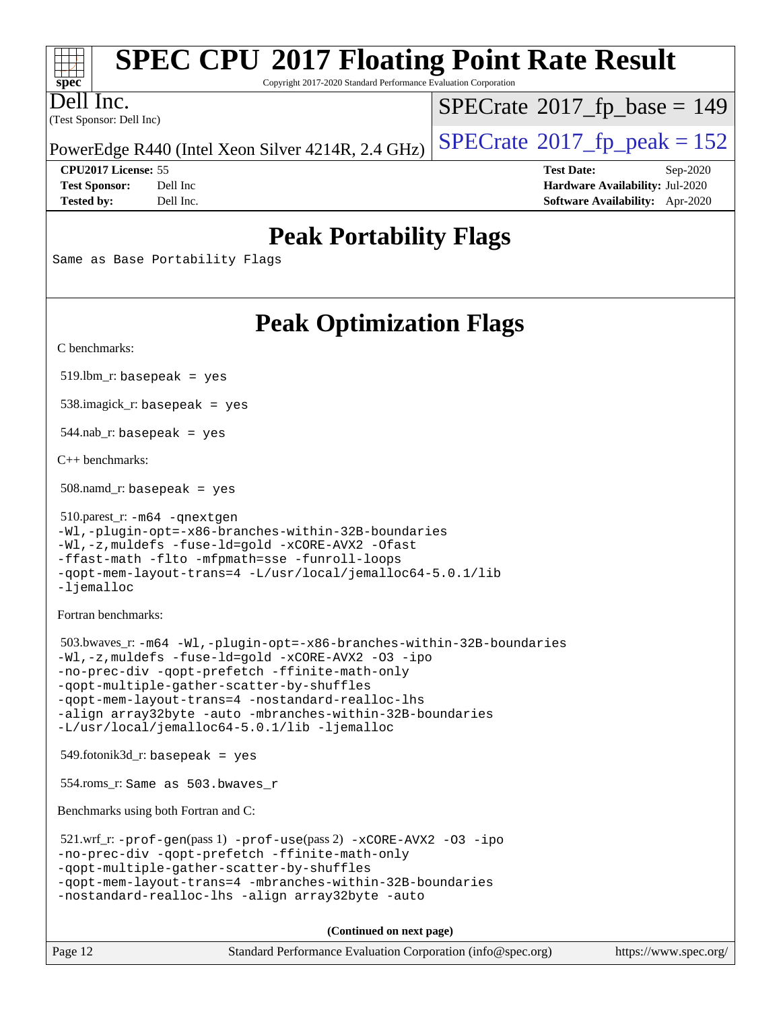| $Spec^*$  | <b>SPEC CPU®2017 Floating Point Rate Result</b><br>Copyright 2017-2020 Standard Performance Evaluation Corporation |
|-----------|--------------------------------------------------------------------------------------------------------------------|
| Dell Inc. | $SPECrate^{\circ}2017$ fp base = 149<br>(Test Sponsor: Dell Inc)                                                   |

PowerEdge R440 (Intel Xeon Silver 4214R, 2.4 GHz)  $\left|$  [SPECrate](http://www.spec.org/auto/cpu2017/Docs/result-fields.html#SPECrate2017fppeak)®[2017\\_fp\\_peak = 1](http://www.spec.org/auto/cpu2017/Docs/result-fields.html#SPECrate2017fppeak)52

**[CPU2017 License:](http://www.spec.org/auto/cpu2017/Docs/result-fields.html#CPU2017License)** 55 **[Test Date:](http://www.spec.org/auto/cpu2017/Docs/result-fields.html#TestDate)** Sep-2020 **[Test Sponsor:](http://www.spec.org/auto/cpu2017/Docs/result-fields.html#TestSponsor)** Dell Inc **[Hardware Availability:](http://www.spec.org/auto/cpu2017/Docs/result-fields.html#HardwareAvailability)** Jul-2020 **[Tested by:](http://www.spec.org/auto/cpu2017/Docs/result-fields.html#Testedby)** Dell Inc. **[Software Availability:](http://www.spec.org/auto/cpu2017/Docs/result-fields.html#SoftwareAvailability)** Apr-2020

## **[Peak Portability Flags](http://www.spec.org/auto/cpu2017/Docs/result-fields.html#PeakPortabilityFlags)**

Same as Base Portability Flags

## **[Peak Optimization Flags](http://www.spec.org/auto/cpu2017/Docs/result-fields.html#PeakOptimizationFlags)**

[C benchmarks](http://www.spec.org/auto/cpu2017/Docs/result-fields.html#Cbenchmarks):

519.lbm\_r: basepeak = yes

538.imagick\_r: basepeak = yes

544.nab\_r: basepeak = yes

[C++ benchmarks:](http://www.spec.org/auto/cpu2017/Docs/result-fields.html#CXXbenchmarks)

508.namd\_r: basepeak = yes

```
 510.parest_r: -m64 -qnextgen
-Wl,-plugin-opt=-x86-branches-within-32B-boundaries
-Wl,-z,muldefs -fuse-ld=gold -xCORE-AVX2 -Ofast
-ffast-math -flto -mfpmath=sse -funroll-loops
-qopt-mem-layout-trans=4 -L/usr/local/jemalloc64-5.0.1/lib
-ljemalloc
```
[Fortran benchmarks](http://www.spec.org/auto/cpu2017/Docs/result-fields.html#Fortranbenchmarks):

```
 503.bwaves_r: -m64 -Wl,-plugin-opt=-x86-branches-within-32B-boundaries
-Wl,-z,muldefs -fuse-ld=gold -xCORE-AVX2 -O3 -ipo
-no-prec-div -qopt-prefetch -ffinite-math-only
-qopt-multiple-gather-scatter-by-shuffles
-qopt-mem-layout-trans=4 -nostandard-realloc-lhs
-align array32byte -auto -mbranches-within-32B-boundaries
-L/usr/local/jemalloc64-5.0.1/lib -ljemalloc
```
549.fotonik3d\_r: basepeak = yes

554.roms\_r: Same as 503.bwaves\_r

[Benchmarks using both Fortran and C](http://www.spec.org/auto/cpu2017/Docs/result-fields.html#BenchmarksusingbothFortranandC):

```
 521.wrf_r: -prof-gen(pass 1) -prof-use(pass 2) -xCORE-AVX2 -O3 -ipo
-no-prec-div -qopt-prefetch -ffinite-math-only
-qopt-multiple-gather-scatter-by-shuffles
-qopt-mem-layout-trans=4 -mbranches-within-32B-boundaries
-nostandard-realloc-lhs -align array32byte -auto
```
**(Continued on next page)**